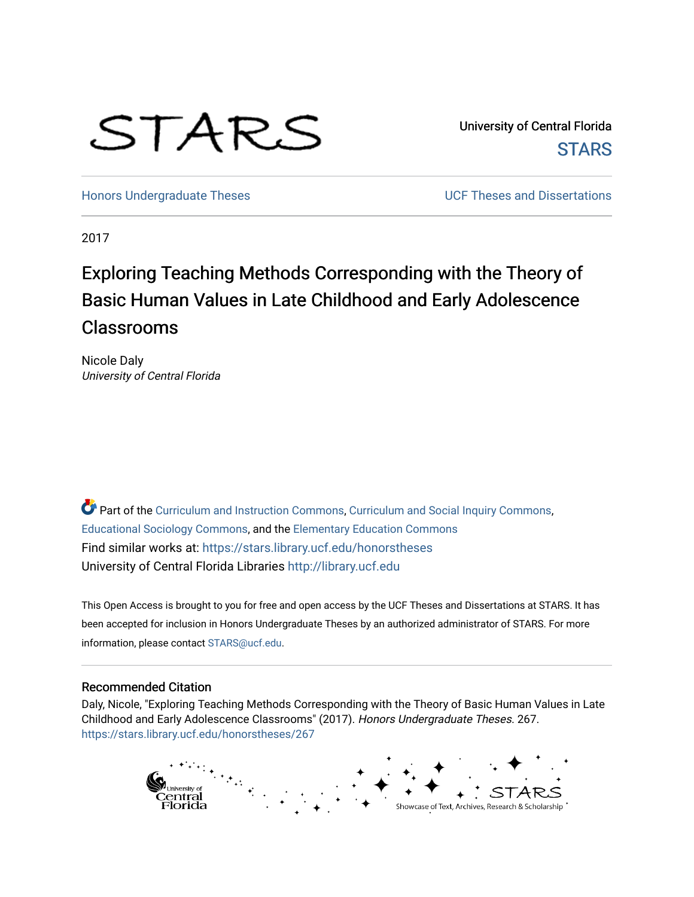# STARS

University of Central Florida **STARS** 

[Honors Undergraduate Theses](https://stars.library.ucf.edu/honorstheses) **No. 2018** UCF Theses and Dissertations

2017

# Exploring Teaching Methods Corresponding with the Theory of Basic Human Values in Late Childhood and Early Adolescence Classrooms

Nicole Daly University of Central Florida

Part of the [Curriculum and Instruction Commons,](http://network.bepress.com/hgg/discipline/786?utm_source=stars.library.ucf.edu%2Fhonorstheses%2F267&utm_medium=PDF&utm_campaign=PDFCoverPages) [Curriculum and Social Inquiry Commons,](http://network.bepress.com/hgg/discipline/1038?utm_source=stars.library.ucf.edu%2Fhonorstheses%2F267&utm_medium=PDF&utm_campaign=PDFCoverPages) [Educational Sociology Commons,](http://network.bepress.com/hgg/discipline/1071?utm_source=stars.library.ucf.edu%2Fhonorstheses%2F267&utm_medium=PDF&utm_campaign=PDFCoverPages) and the [Elementary Education Commons](http://network.bepress.com/hgg/discipline/1378?utm_source=stars.library.ucf.edu%2Fhonorstheses%2F267&utm_medium=PDF&utm_campaign=PDFCoverPages) Find similar works at: <https://stars.library.ucf.edu/honorstheses> University of Central Florida Libraries [http://library.ucf.edu](http://library.ucf.edu/) 

This Open Access is brought to you for free and open access by the UCF Theses and Dissertations at STARS. It has been accepted for inclusion in Honors Undergraduate Theses by an authorized administrator of STARS. For more information, please contact [STARS@ucf.edu.](mailto:STARS@ucf.edu)

#### Recommended Citation

Daly, Nicole, "Exploring Teaching Methods Corresponding with the Theory of Basic Human Values in Late Childhood and Early Adolescence Classrooms" (2017). Honors Undergraduate Theses. 267. [https://stars.library.ucf.edu/honorstheses/267](https://stars.library.ucf.edu/honorstheses/267?utm_source=stars.library.ucf.edu%2Fhonorstheses%2F267&utm_medium=PDF&utm_campaign=PDFCoverPages) 

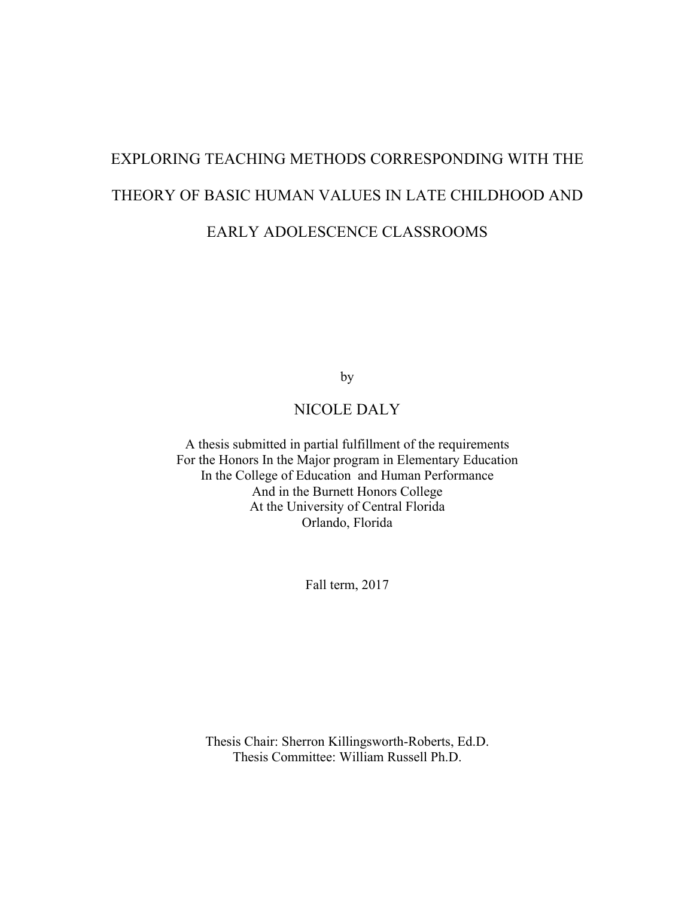# EXPLORING TEACHING METHODS CORRESPONDING WITH THE THEORY OF BASIC HUMAN VALUES IN LATE CHILDHOOD AND EARLY ADOLESCENCE CLASSROOMS

by

### NICOLE DALY

A thesis submitted in partial fulfillment of the requirements For the Honors In the Major program in Elementary Education In the College of Education and Human Performance And in the Burnett Honors College At the University of Central Florida Orlando, Florida

Fall term, 2017

Thesis Chair: Sherron Killingsworth-Roberts, Ed.D. Thesis Committee: William Russell Ph.D.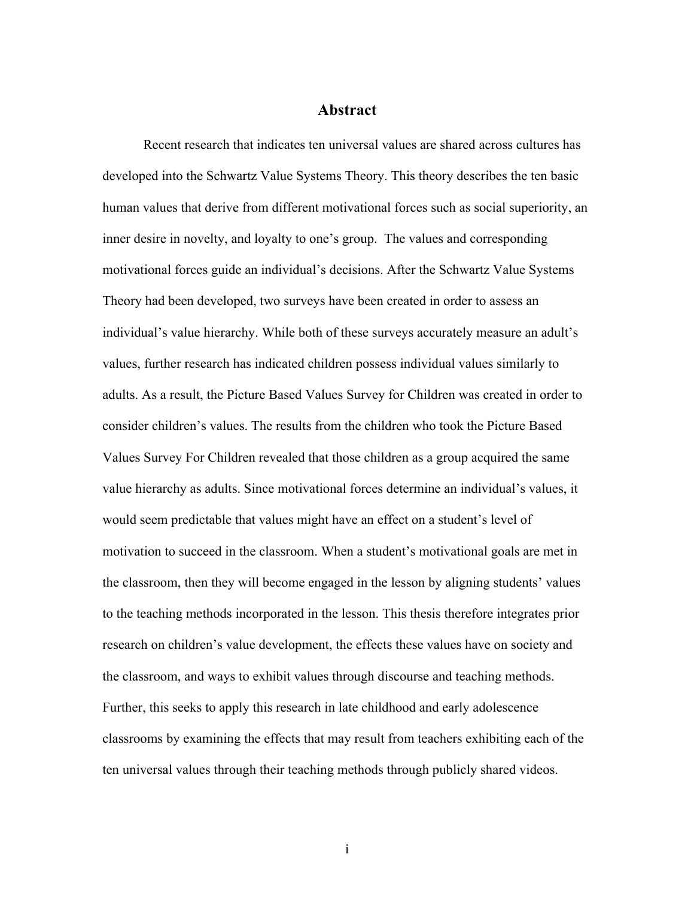#### **Abstract**

Recent research that indicates ten universal values are shared across cultures has developed into the Schwartz Value Systems Theory. This theory describes the ten basic human values that derive from different motivational forces such as social superiority, an inner desire in novelty, and loyalty to one's group. The values and corresponding motivational forces guide an individual's decisions. After the Schwartz Value Systems Theory had been developed, two surveys have been created in order to assess an individual's value hierarchy. While both of these surveys accurately measure an adult's values, further research has indicated children possess individual values similarly to adults. As a result, the Picture Based Values Survey for Children was created in order to consider children's values. The results from the children who took the Picture Based Values Survey For Children revealed that those children as a group acquired the same value hierarchy as adults. Since motivational forces determine an individual's values, it would seem predictable that values might have an effect on a student's level of motivation to succeed in the classroom. When a student's motivational goals are met in the classroom, then they will become engaged in the lesson by aligning students' values to the teaching methods incorporated in the lesson. This thesis therefore integrates prior research on children's value development, the effects these values have on society and the classroom, and ways to exhibit values through discourse and teaching methods. Further, this seeks to apply this research in late childhood and early adolescence classrooms by examining the effects that may result from teachers exhibiting each of the ten universal values through their teaching methods through publicly shared videos.

i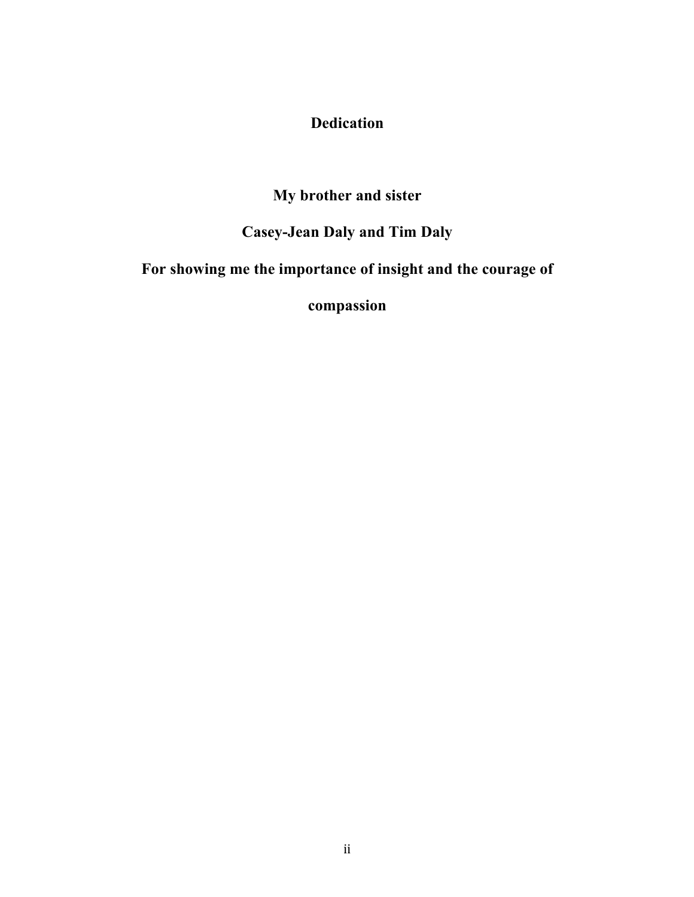## **Dedication**

# **My brother and sister**

# **Casey-Jean Daly and Tim Daly**

# **For showing me the importance of insight and the courage of**

**compassion**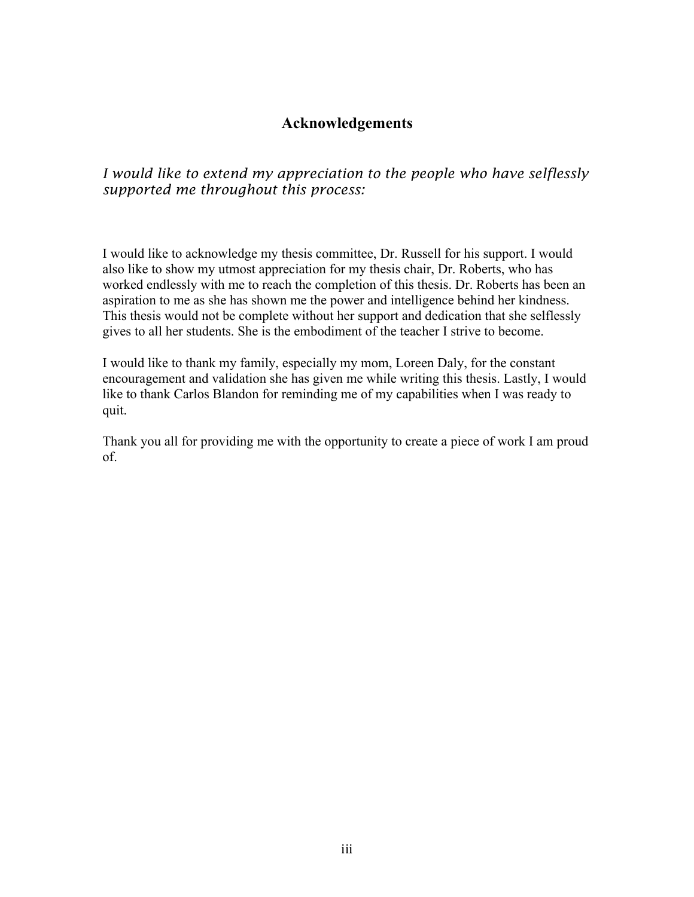### **Acknowledgements**

*I would like to extend my appreciation to the people who have selflessly supported me throughout this process:* 

I would like to acknowledge my thesis committee, Dr. Russell for his support. I would also like to show my utmost appreciation for my thesis chair, Dr. Roberts, who has worked endlessly with me to reach the completion of this thesis. Dr. Roberts has been an aspiration to me as she has shown me the power and intelligence behind her kindness. This thesis would not be complete without her support and dedication that she selflessly gives to all her students. She is the embodiment of the teacher I strive to become.

I would like to thank my family, especially my mom, Loreen Daly, for the constant encouragement and validation she has given me while writing this thesis. Lastly, I would like to thank Carlos Blandon for reminding me of my capabilities when I was ready to quit.

Thank you all for providing me with the opportunity to create a piece of work I am proud of.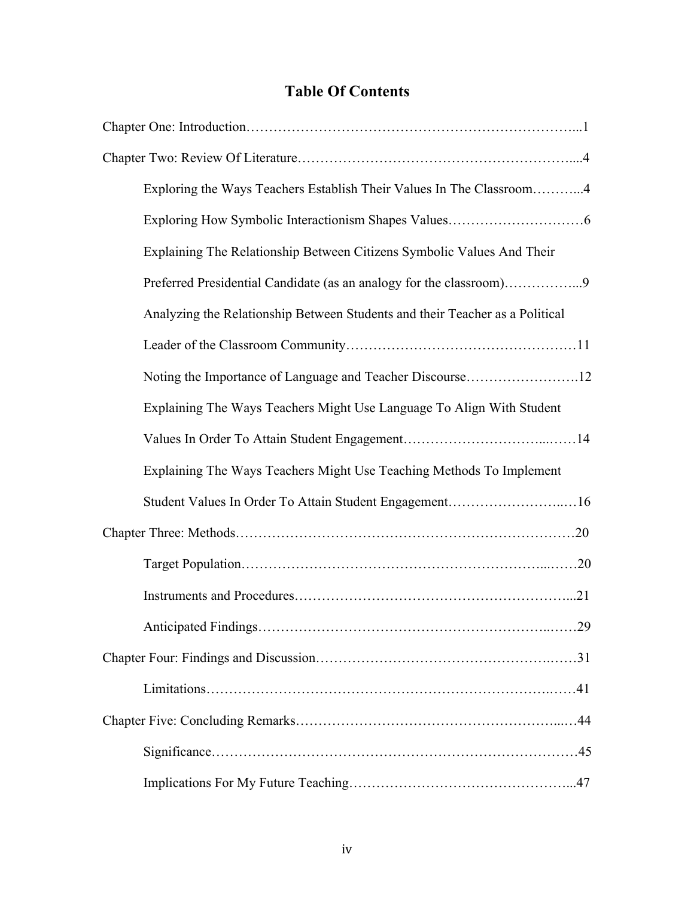# **Table Of Contents**

| Exploring the Ways Teachers Establish Their Values In The Classroom4         |
|------------------------------------------------------------------------------|
|                                                                              |
| Explaining The Relationship Between Citizens Symbolic Values And Their       |
| Preferred Presidential Candidate (as an analogy for the classroom)9          |
| Analyzing the Relationship Between Students and their Teacher as a Political |
|                                                                              |
| Noting the Importance of Language and Teacher Discourse12                    |
| Explaining The Ways Teachers Might Use Language To Align With Student        |
|                                                                              |
| Explaining The Ways Teachers Might Use Teaching Methods To Implement         |
|                                                                              |
| Student Values In Order To Attain Student Engagement16                       |
|                                                                              |
|                                                                              |
|                                                                              |
|                                                                              |
|                                                                              |
|                                                                              |
|                                                                              |
|                                                                              |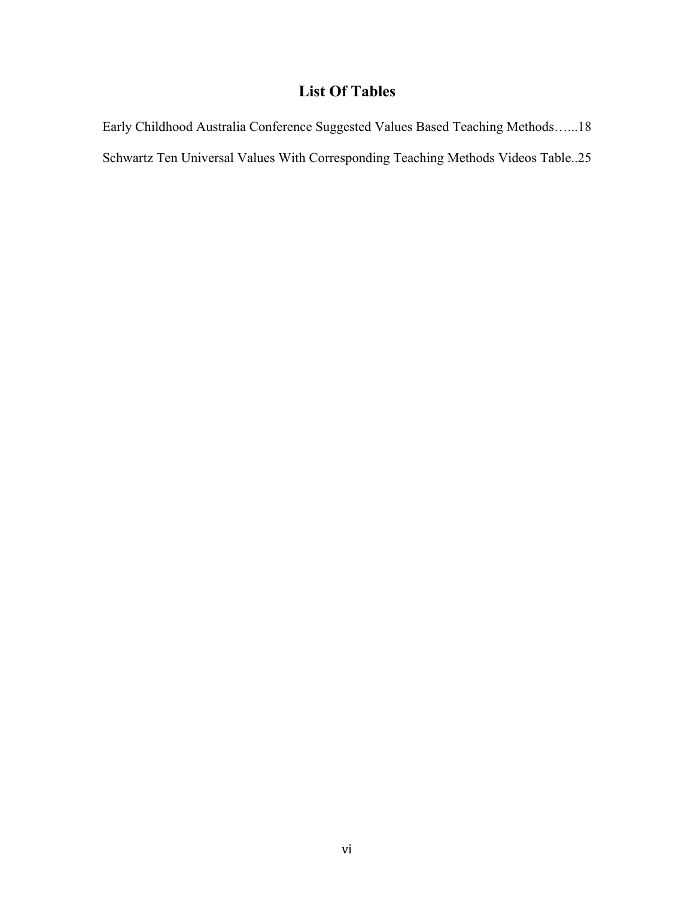# **List Of Tables**

Early Childhood Australia Conference Suggested Values Based Teaching Methods…...18 Schwartz Ten Universal Values With Corresponding Teaching Methods Videos Table..25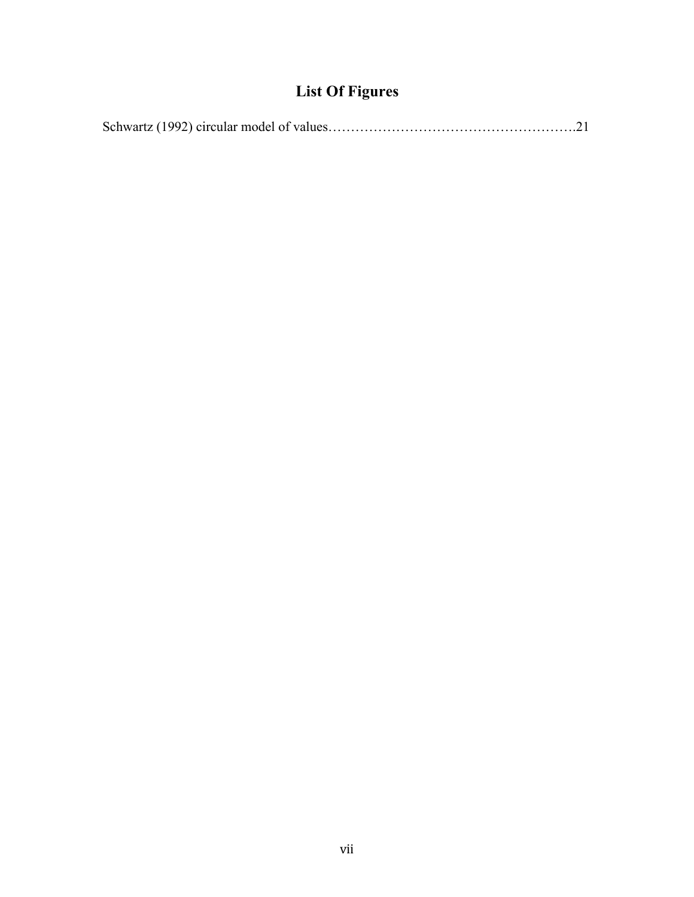# **List Of Figures**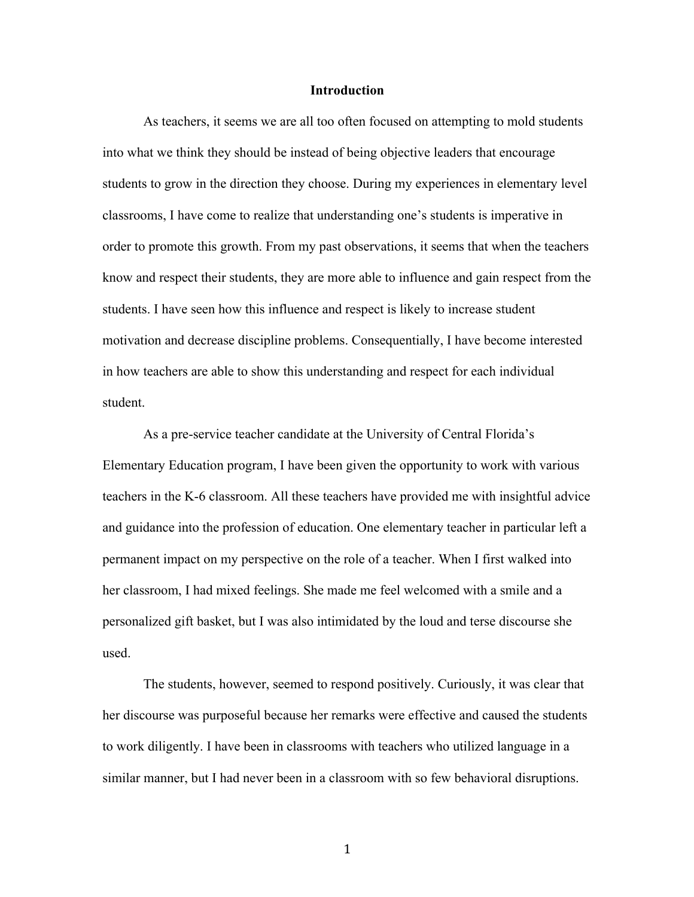#### **Introduction**

As teachers, it seems we are all too often focused on attempting to mold students into what we think they should be instead of being objective leaders that encourage students to grow in the direction they choose. During my experiences in elementary level classrooms, I have come to realize that understanding one's students is imperative in order to promote this growth. From my past observations, it seems that when the teachers know and respect their students, they are more able to influence and gain respect from the students. I have seen how this influence and respect is likely to increase student motivation and decrease discipline problems. Consequentially, I have become interested in how teachers are able to show this understanding and respect for each individual student.

As a pre-service teacher candidate at the University of Central Florida's Elementary Education program, I have been given the opportunity to work with various teachers in the K-6 classroom. All these teachers have provided me with insightful advice and guidance into the profession of education. One elementary teacher in particular left a permanent impact on my perspective on the role of a teacher. When I first walked into her classroom, I had mixed feelings. She made me feel welcomed with a smile and a personalized gift basket, but I was also intimidated by the loud and terse discourse she used.

The students, however, seemed to respond positively. Curiously, it was clear that her discourse was purposeful because her remarks were effective and caused the students to work diligently. I have been in classrooms with teachers who utilized language in a similar manner, but I had never been in a classroom with so few behavioral disruptions.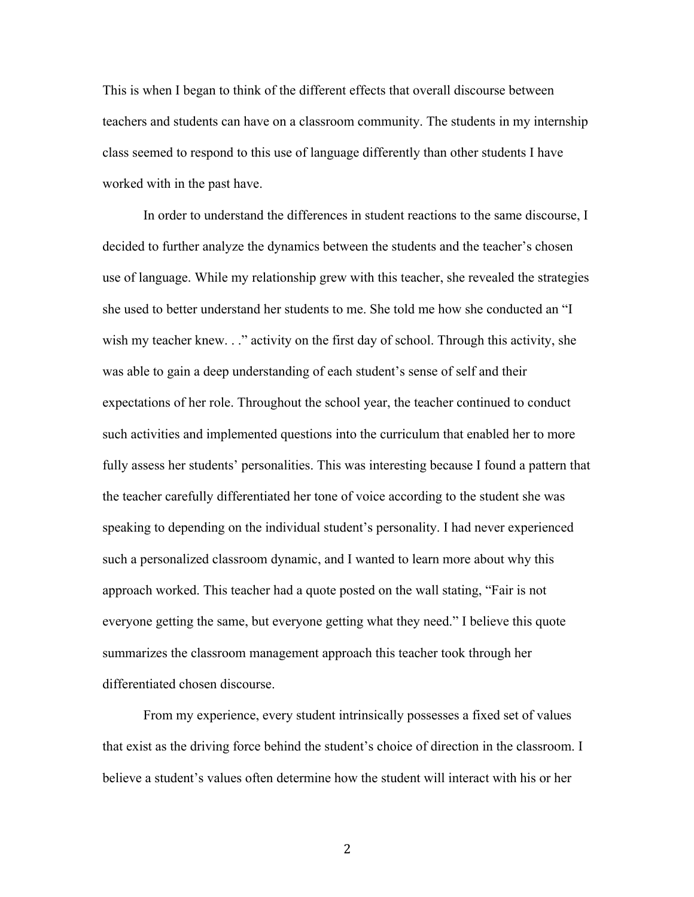This is when I began to think of the different effects that overall discourse between teachers and students can have on a classroom community. The students in my internship class seemed to respond to this use of language differently than other students I have worked with in the past have.

In order to understand the differences in student reactions to the same discourse, I decided to further analyze the dynamics between the students and the teacher's chosen use of language. While my relationship grew with this teacher, she revealed the strategies she used to better understand her students to me. She told me how she conducted an "I wish my teacher knew. . ." activity on the first day of school. Through this activity, she was able to gain a deep understanding of each student's sense of self and their expectations of her role. Throughout the school year, the teacher continued to conduct such activities and implemented questions into the curriculum that enabled her to more fully assess her students' personalities. This was interesting because I found a pattern that the teacher carefully differentiated her tone of voice according to the student she was speaking to depending on the individual student's personality. I had never experienced such a personalized classroom dynamic, and I wanted to learn more about why this approach worked. This teacher had a quote posted on the wall stating, "Fair is not everyone getting the same, but everyone getting what they need." I believe this quote summarizes the classroom management approach this teacher took through her differentiated chosen discourse.

From my experience, every student intrinsically possesses a fixed set of values that exist as the driving force behind the student's choice of direction in the classroom. I believe a student's values often determine how the student will interact with his or her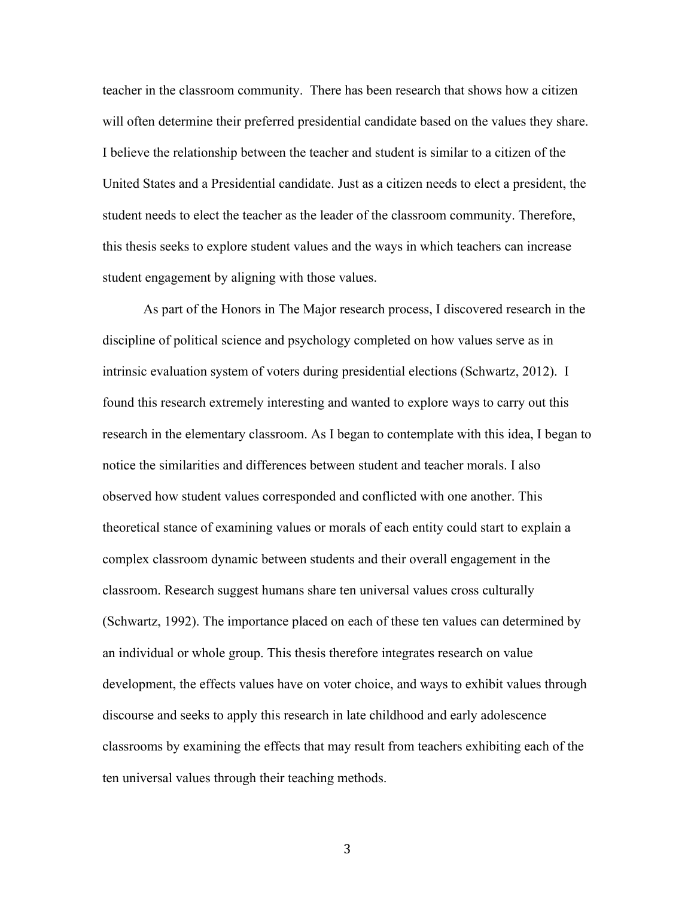teacher in the classroom community. There has been research that shows how a citizen will often determine their preferred presidential candidate based on the values they share. I believe the relationship between the teacher and student is similar to a citizen of the United States and a Presidential candidate. Just as a citizen needs to elect a president, the student needs to elect the teacher as the leader of the classroom community. Therefore, this thesis seeks to explore student values and the ways in which teachers can increase student engagement by aligning with those values.

As part of the Honors in The Major research process, I discovered research in the discipline of political science and psychology completed on how values serve as in intrinsic evaluation system of voters during presidential elections (Schwartz, 2012). I found this research extremely interesting and wanted to explore ways to carry out this research in the elementary classroom. As I began to contemplate with this idea, I began to notice the similarities and differences between student and teacher morals. I also observed how student values corresponded and conflicted with one another. This theoretical stance of examining values or morals of each entity could start to explain a complex classroom dynamic between students and their overall engagement in the classroom. Research suggest humans share ten universal values cross culturally (Schwartz, 1992). The importance placed on each of these ten values can determined by an individual or whole group. This thesis therefore integrates research on value development, the effects values have on voter choice, and ways to exhibit values through discourse and seeks to apply this research in late childhood and early adolescence classrooms by examining the effects that may result from teachers exhibiting each of the ten universal values through their teaching methods.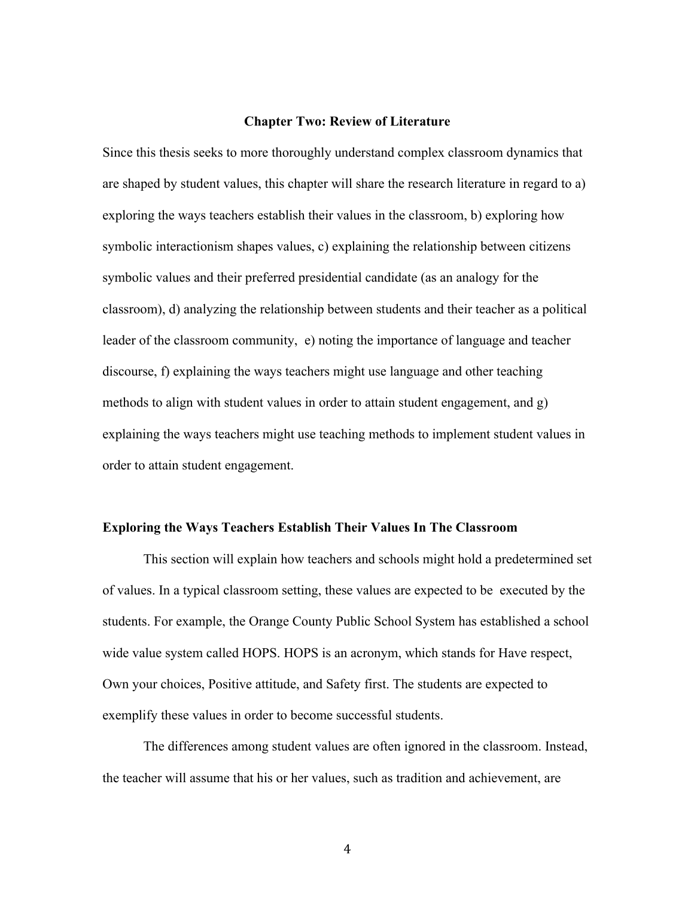#### **Chapter Two: Review of Literature**

Since this thesis seeks to more thoroughly understand complex classroom dynamics that are shaped by student values, this chapter will share the research literature in regard to a) exploring the ways teachers establish their values in the classroom, b) exploring how symbolic interactionism shapes values, c) explaining the relationship between citizens symbolic values and their preferred presidential candidate (as an analogy for the classroom), d) analyzing the relationship between students and their teacher as a political leader of the classroom community, e) noting the importance of language and teacher discourse, f) explaining the ways teachers might use language and other teaching methods to align with student values in order to attain student engagement, and g) explaining the ways teachers might use teaching methods to implement student values in order to attain student engagement.

#### **Exploring the Ways Teachers Establish Their Values In The Classroom**

This section will explain how teachers and schools might hold a predetermined set of values. In a typical classroom setting, these values are expected to be executed by the students. For example, the Orange County Public School System has established a school wide value system called HOPS. HOPS is an acronym, which stands for Have respect, Own your choices, Positive attitude, and Safety first. The students are expected to exemplify these values in order to become successful students.

The differences among student values are often ignored in the classroom. Instead, the teacher will assume that his or her values, such as tradition and achievement, are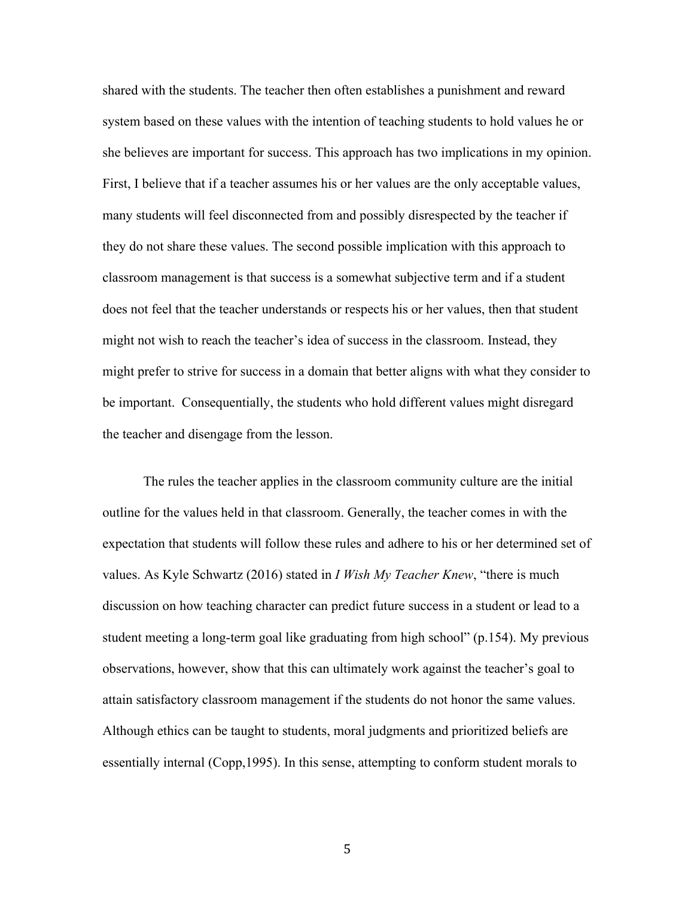shared with the students. The teacher then often establishes a punishment and reward system based on these values with the intention of teaching students to hold values he or she believes are important for success. This approach has two implications in my opinion. First, I believe that if a teacher assumes his or her values are the only acceptable values, many students will feel disconnected from and possibly disrespected by the teacher if they do not share these values. The second possible implication with this approach to classroom management is that success is a somewhat subjective term and if a student does not feel that the teacher understands or respects his or her values, then that student might not wish to reach the teacher's idea of success in the classroom. Instead, they might prefer to strive for success in a domain that better aligns with what they consider to be important. Consequentially, the students who hold different values might disregard the teacher and disengage from the lesson.

The rules the teacher applies in the classroom community culture are the initial outline for the values held in that classroom. Generally, the teacher comes in with the expectation that students will follow these rules and adhere to his or her determined set of values. As Kyle Schwartz (2016) stated in *I Wish My Teacher Knew*, "there is much discussion on how teaching character can predict future success in a student or lead to a student meeting a long-term goal like graduating from high school" (p.154). My previous observations, however, show that this can ultimately work against the teacher's goal to attain satisfactory classroom management if the students do not honor the same values. Although ethics can be taught to students, moral judgments and prioritized beliefs are essentially internal (Copp,1995). In this sense, attempting to conform student morals to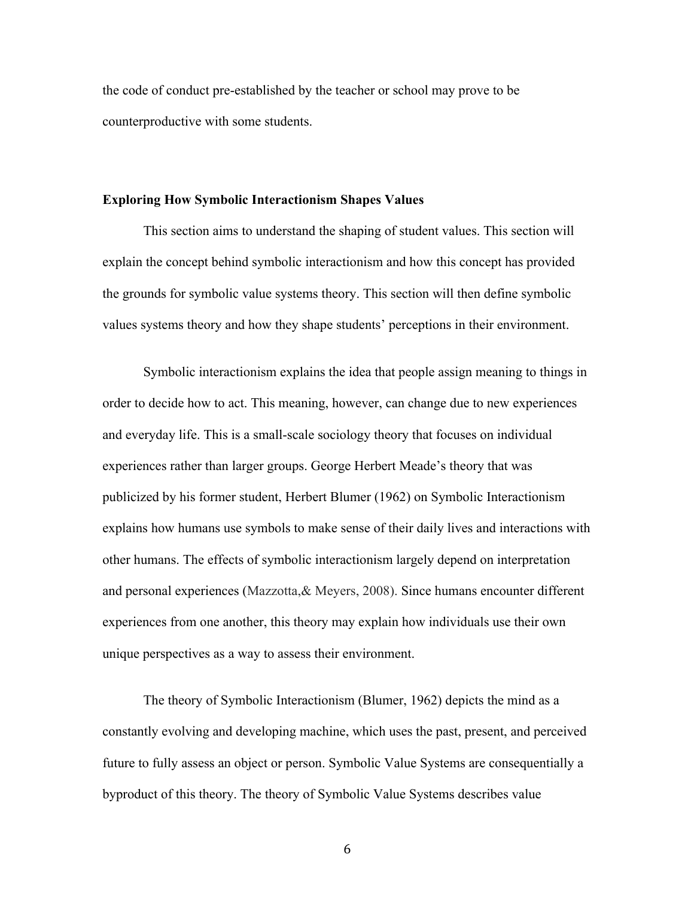the code of conduct pre-established by the teacher or school may prove to be counterproductive with some students.

#### **Exploring How Symbolic Interactionism Shapes Values**

This section aims to understand the shaping of student values. This section will explain the concept behind symbolic interactionism and how this concept has provided the grounds for symbolic value systems theory. This section will then define symbolic values systems theory and how they shape students' perceptions in their environment.

Symbolic interactionism explains the idea that people assign meaning to things in order to decide how to act. This meaning, however, can change due to new experiences and everyday life. This is a small-scale sociology theory that focuses on individual experiences rather than larger groups. George Herbert Meade's theory that was publicized by his former student, Herbert Blumer (1962) on Symbolic Interactionism explains how humans use symbols to make sense of their daily lives and interactions with other humans. The effects of symbolic interactionism largely depend on interpretation and personal experiences (Mazzotta,& Meyers, 2008). Since humans encounter different experiences from one another, this theory may explain how individuals use their own unique perspectives as a way to assess their environment.

The theory of Symbolic Interactionism (Blumer, 1962) depicts the mind as a constantly evolving and developing machine, which uses the past, present, and perceived future to fully assess an object or person. Symbolic Value Systems are consequentially a byproduct of this theory. The theory of Symbolic Value Systems describes value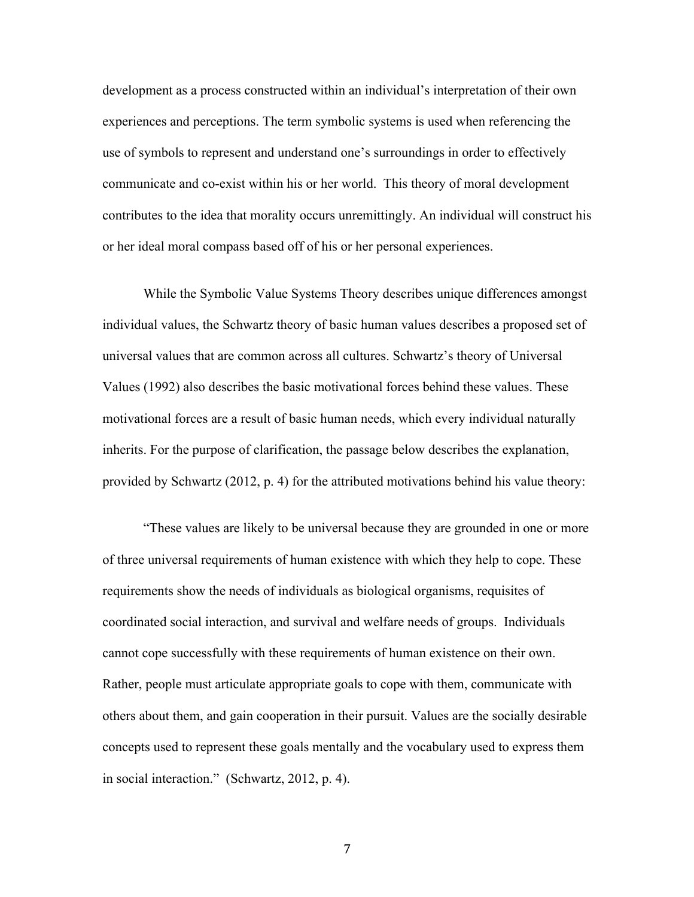development as a process constructed within an individual's interpretation of their own experiences and perceptions. The term symbolic systems is used when referencing the use of symbols to represent and understand one's surroundings in order to effectively communicate and co-exist within his or her world. This theory of moral development contributes to the idea that morality occurs unremittingly. An individual will construct his or her ideal moral compass based off of his or her personal experiences.

While the Symbolic Value Systems Theory describes unique differences amongst individual values, the Schwartz theory of basic human values describes a proposed set of universal values that are common across all cultures. Schwartz's theory of Universal Values (1992) also describes the basic motivational forces behind these values. These motivational forces are a result of basic human needs, which every individual naturally inherits. For the purpose of clarification, the passage below describes the explanation, provided by Schwartz (2012, p. 4) for the attributed motivations behind his value theory:

"These values are likely to be universal because they are grounded in one or more of three universal requirements of human existence with which they help to cope. These requirements show the needs of individuals as biological organisms, requisites of coordinated social interaction, and survival and welfare needs of groups. Individuals cannot cope successfully with these requirements of human existence on their own. Rather, people must articulate appropriate goals to cope with them, communicate with others about them, and gain cooperation in their pursuit. Values are the socially desirable concepts used to represent these goals mentally and the vocabulary used to express them in social interaction." (Schwartz, 2012, p. 4).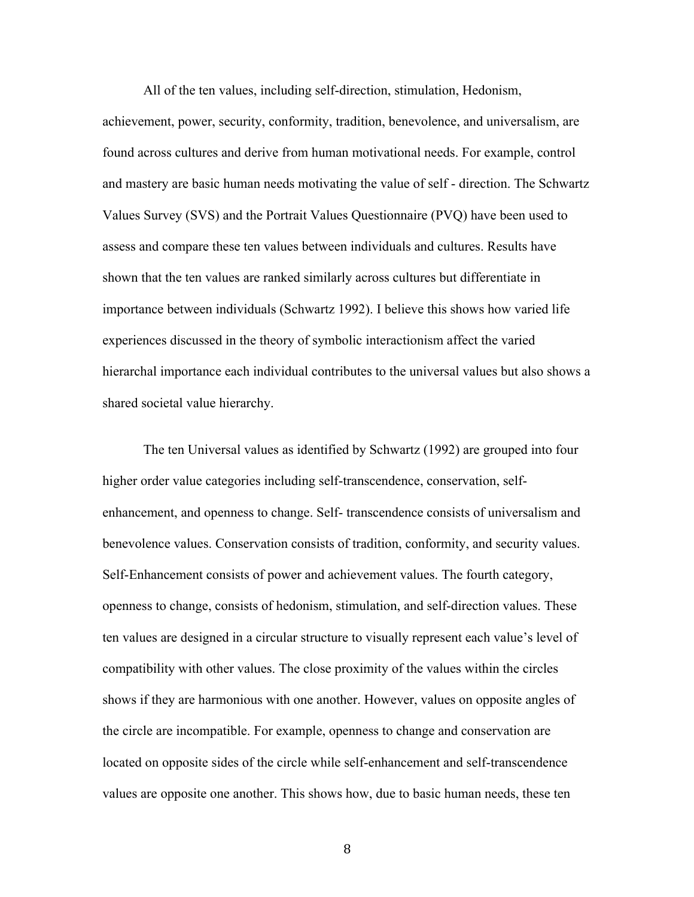All of the ten values, including self-direction, stimulation, Hedonism,

achievement, power, security, conformity, tradition, benevolence, and universalism, are found across cultures and derive from human motivational needs. For example, control and mastery are basic human needs motivating the value of self - direction. The Schwartz Values Survey (SVS) and the Portrait Values Questionnaire (PVQ) have been used to assess and compare these ten values between individuals and cultures. Results have shown that the ten values are ranked similarly across cultures but differentiate in importance between individuals (Schwartz 1992). I believe this shows how varied life experiences discussed in the theory of symbolic interactionism affect the varied hierarchal importance each individual contributes to the universal values but also shows a shared societal value hierarchy.

The ten Universal values as identified by Schwartz (1992) are grouped into four higher order value categories including self-transcendence, conservation, selfenhancement, and openness to change. Self- transcendence consists of universalism and benevolence values. Conservation consists of tradition, conformity, and security values. Self-Enhancement consists of power and achievement values. The fourth category, openness to change, consists of hedonism, stimulation, and self-direction values. These ten values are designed in a circular structure to visually represent each value's level of compatibility with other values. The close proximity of the values within the circles shows if they are harmonious with one another. However, values on opposite angles of the circle are incompatible. For example, openness to change and conservation are located on opposite sides of the circle while self-enhancement and self-transcendence values are opposite one another. This shows how, due to basic human needs, these ten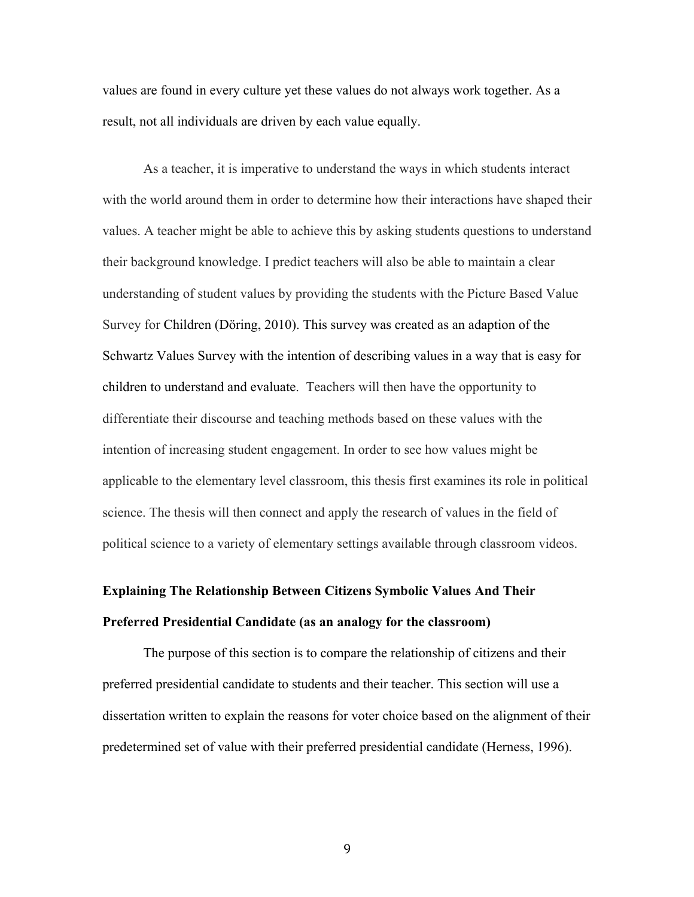values are found in every culture yet these values do not always work together. As a result, not all individuals are driven by each value equally.

As a teacher, it is imperative to understand the ways in which students interact with the world around them in order to determine how their interactions have shaped their values. A teacher might be able to achieve this by asking students questions to understand their background knowledge. I predict teachers will also be able to maintain a clear understanding of student values by providing the students with the Picture Based Value Survey for Children (Döring, 2010). This survey was created as an adaption of the Schwartz Values Survey with the intention of describing values in a way that is easy for children to understand and evaluate. Teachers will then have the opportunity to differentiate their discourse and teaching methods based on these values with the intention of increasing student engagement. In order to see how values might be applicable to the elementary level classroom, this thesis first examines its role in political science. The thesis will then connect and apply the research of values in the field of political science to a variety of elementary settings available through classroom videos.

# **Explaining The Relationship Between Citizens Symbolic Values And Their Preferred Presidential Candidate (as an analogy for the classroom)**

The purpose of this section is to compare the relationship of citizens and their preferred presidential candidate to students and their teacher. This section will use a dissertation written to explain the reasons for voter choice based on the alignment of their predetermined set of value with their preferred presidential candidate (Herness, 1996).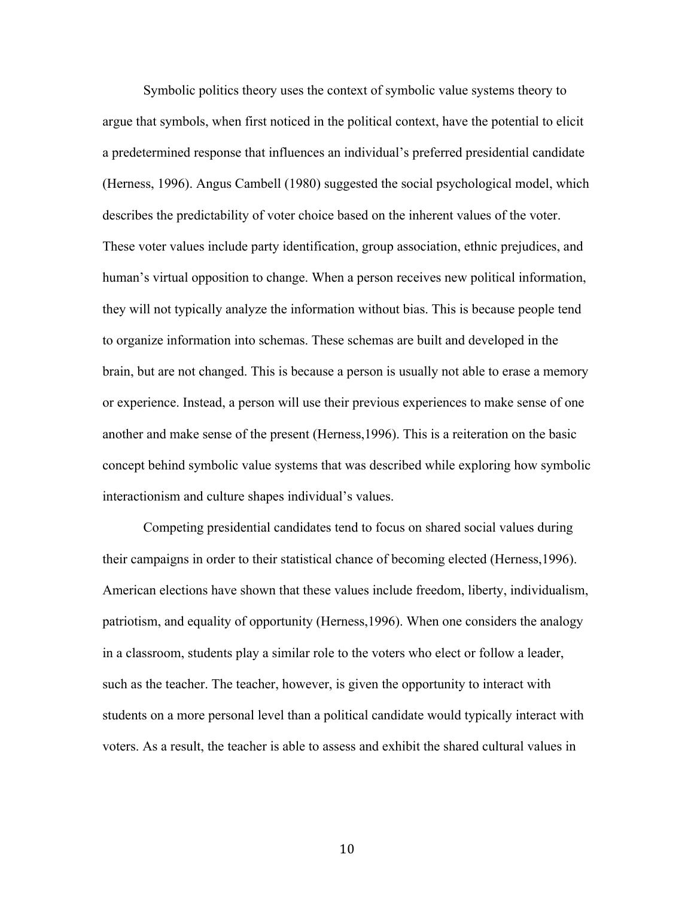Symbolic politics theory uses the context of symbolic value systems theory to argue that symbols, when first noticed in the political context, have the potential to elicit a predetermined response that influences an individual's preferred presidential candidate (Herness, 1996). Angus Cambell (1980) suggested the social psychological model, which describes the predictability of voter choice based on the inherent values of the voter. These voter values include party identification, group association, ethnic prejudices, and human's virtual opposition to change. When a person receives new political information, they will not typically analyze the information without bias. This is because people tend to organize information into schemas. These schemas are built and developed in the brain, but are not changed. This is because a person is usually not able to erase a memory or experience. Instead, a person will use their previous experiences to make sense of one another and make sense of the present (Herness,1996). This is a reiteration on the basic concept behind symbolic value systems that was described while exploring how symbolic interactionism and culture shapes individual's values.

Competing presidential candidates tend to focus on shared social values during their campaigns in order to their statistical chance of becoming elected (Herness,1996). American elections have shown that these values include freedom, liberty, individualism, patriotism, and equality of opportunity (Herness,1996). When one considers the analogy in a classroom, students play a similar role to the voters who elect or follow a leader, such as the teacher. The teacher, however, is given the opportunity to interact with students on a more personal level than a political candidate would typically interact with voters. As a result, the teacher is able to assess and exhibit the shared cultural values in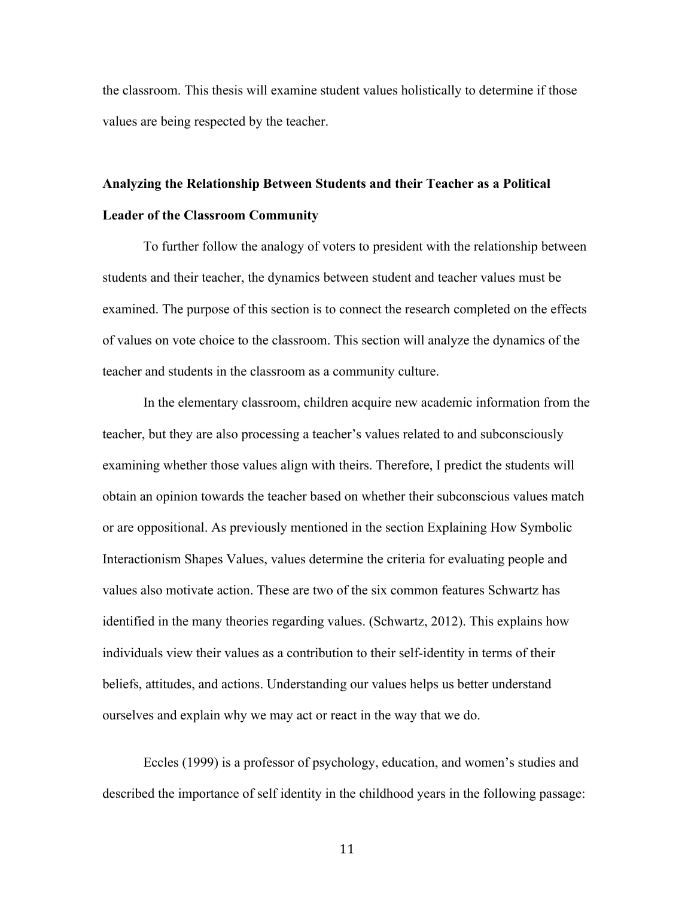the classroom. This thesis will examine student values holistically to determine if those values are being respected by the teacher.

# **Analyzing the Relationship Between Students and their Teacher as a Political Leader of the Classroom Community**

To further follow the analogy of voters to president with the relationship between students and their teacher, the dynamics between student and teacher values must be examined. The purpose of this section is to connect the research completed on the effects of values on vote choice to the classroom. This section will analyze the dynamics of the teacher and students in the classroom as a community culture.

In the elementary classroom, children acquire new academic information from the teacher, but they are also processing a teacher's values related to and subconsciously examining whether those values align with theirs. Therefore, I predict the students will obtain an opinion towards the teacher based on whether their subconscious values match or are oppositional. As previously mentioned in the section Explaining How Symbolic Interactionism Shapes Values, values determine the criteria for evaluating people and values also motivate action. These are two of the six common features Schwartz has identified in the many theories regarding values. (Schwartz, 2012). This explains how individuals view their values as a contribution to their self-identity in terms of their beliefs, attitudes, and actions. Understanding our values helps us better understand ourselves and explain why we may act or react in the way that we do.

Eccles (1999) is a professor of psychology, education, and women's studies and described the importance of self identity in the childhood years in the following passage: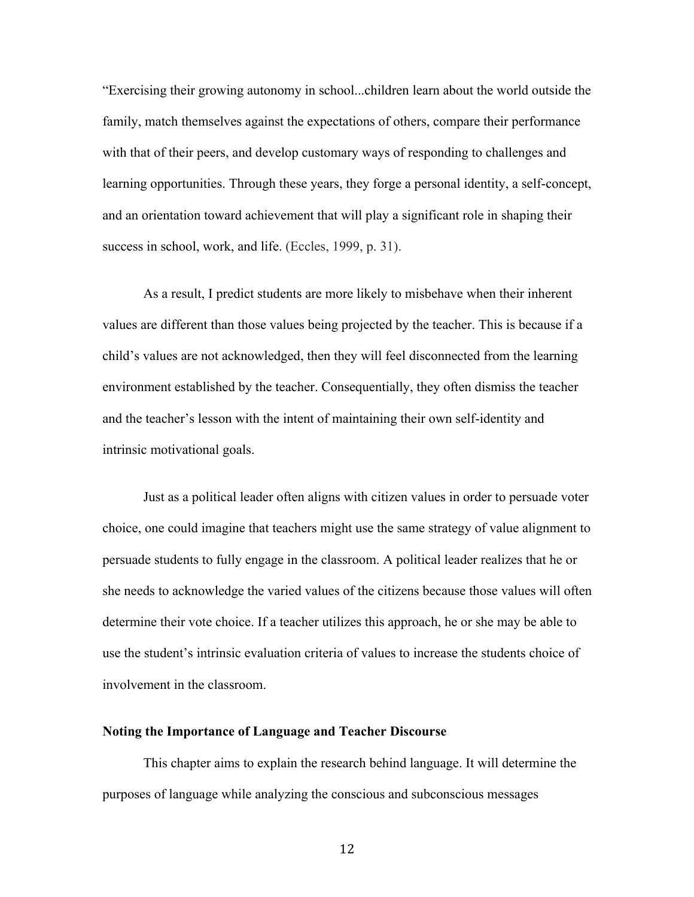"Exercising their growing autonomy in school...children learn about the world outside the family, match themselves against the expectations of others, compare their performance with that of their peers, and develop customary ways of responding to challenges and learning opportunities. Through these years, they forge a personal identity, a self-concept, and an orientation toward achievement that will play a significant role in shaping their success in school, work, and life. (Eccles, 1999, p. 31).

As a result, I predict students are more likely to misbehave when their inherent values are different than those values being projected by the teacher. This is because if a child's values are not acknowledged, then they will feel disconnected from the learning environment established by the teacher. Consequentially, they often dismiss the teacher and the teacher's lesson with the intent of maintaining their own self-identity and intrinsic motivational goals.

Just as a political leader often aligns with citizen values in order to persuade voter choice, one could imagine that teachers might use the same strategy of value alignment to persuade students to fully engage in the classroom. A political leader realizes that he or she needs to acknowledge the varied values of the citizens because those values will often determine their vote choice. If a teacher utilizes this approach, he or she may be able to use the student's intrinsic evaluation criteria of values to increase the students choice of involvement in the classroom.

#### **Noting the Importance of Language and Teacher Discourse**

This chapter aims to explain the research behind language. It will determine the purposes of language while analyzing the conscious and subconscious messages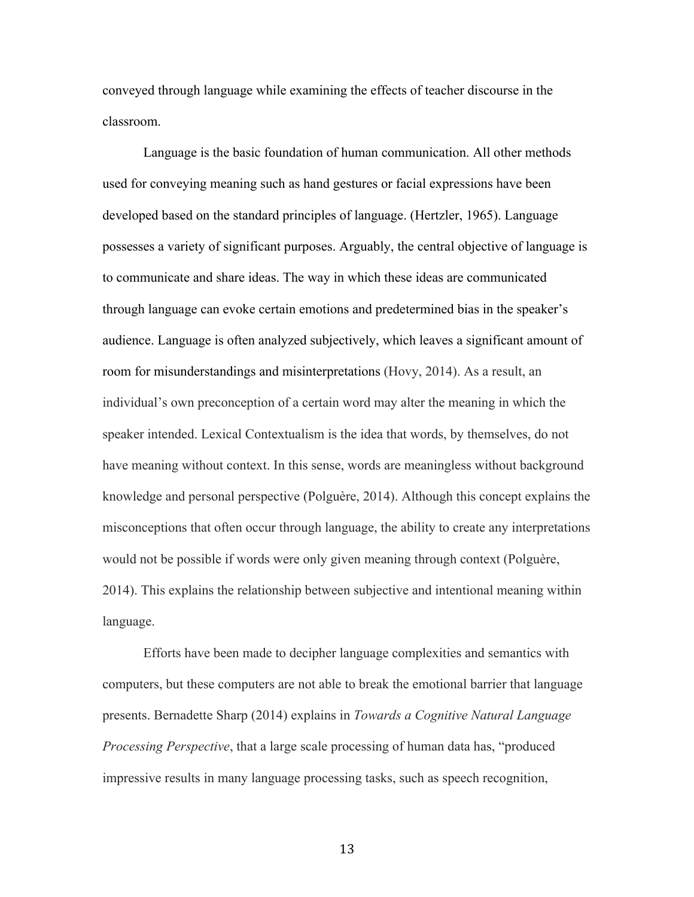conveyed through language while examining the effects of teacher discourse in the classroom.

Language is the basic foundation of human communication. All other methods used for conveying meaning such as hand gestures or facial expressions have been developed based on the standard principles of language. (Hertzler, 1965). Language possesses a variety of significant purposes. Arguably, the central objective of language is to communicate and share ideas. The way in which these ideas are communicated through language can evoke certain emotions and predetermined bias in the speaker's audience. Language is often analyzed subjectively, which leaves a significant amount of room for misunderstandings and misinterpretations (Hovy, 2014). As a result, an individual's own preconception of a certain word may alter the meaning in which the speaker intended. Lexical Contextualism is the idea that words, by themselves, do not have meaning without context. In this sense, words are meaningless without background knowledge and personal perspective (Polguère, 2014). Although this concept explains the misconceptions that often occur through language, the ability to create any interpretations would not be possible if words were only given meaning through context (Polguère, 2014). This explains the relationship between subjective and intentional meaning within language.

Efforts have been made to decipher language complexities and semantics with computers, but these computers are not able to break the emotional barrier that language presents. Bernadette Sharp (2014) explains in *Towards a Cognitive Natural Language Processing Perspective*, that a large scale processing of human data has, "produced impressive results in many language processing tasks, such as speech recognition,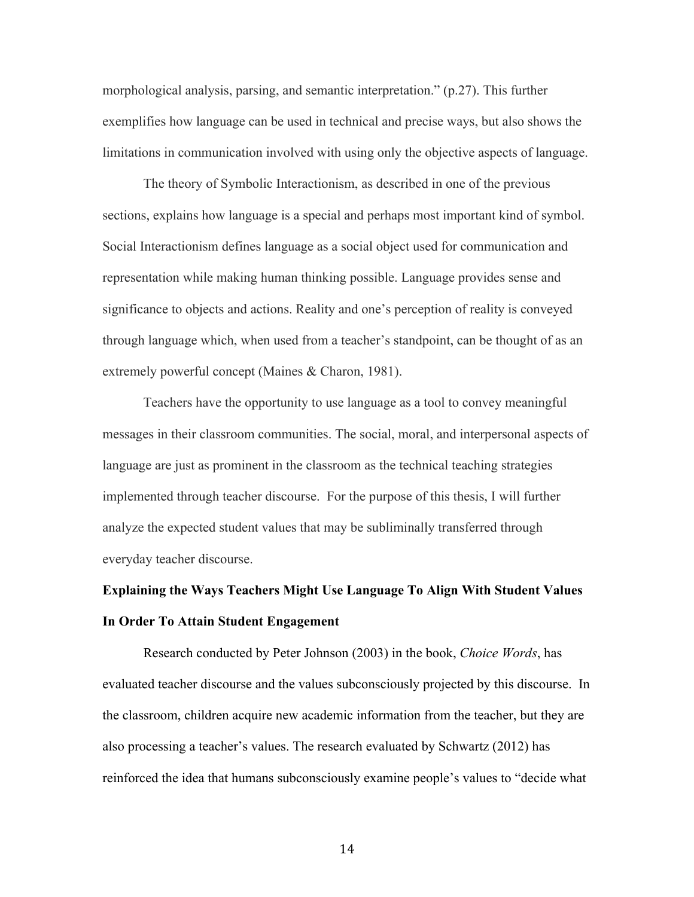morphological analysis, parsing, and semantic interpretation." (p.27). This further exemplifies how language can be used in technical and precise ways, but also shows the limitations in communication involved with using only the objective aspects of language.

The theory of Symbolic Interactionism, as described in one of the previous sections, explains how language is a special and perhaps most important kind of symbol. Social Interactionism defines language as a social object used for communication and representation while making human thinking possible. Language provides sense and significance to objects and actions. Reality and one's perception of reality is conveyed through language which, when used from a teacher's standpoint, can be thought of as an extremely powerful concept (Maines & Charon, 1981).

Teachers have the opportunity to use language as a tool to convey meaningful messages in their classroom communities. The social, moral, and interpersonal aspects of language are just as prominent in the classroom as the technical teaching strategies implemented through teacher discourse. For the purpose of this thesis, I will further analyze the expected student values that may be subliminally transferred through everyday teacher discourse.

# **Explaining the Ways Teachers Might Use Language To Align With Student Values In Order To Attain Student Engagement**

Research conducted by Peter Johnson (2003) in the book, *Choice Words*, has evaluated teacher discourse and the values subconsciously projected by this discourse. In the classroom, children acquire new academic information from the teacher, but they are also processing a teacher's values. The research evaluated by Schwartz (2012) has reinforced the idea that humans subconsciously examine people's values to "decide what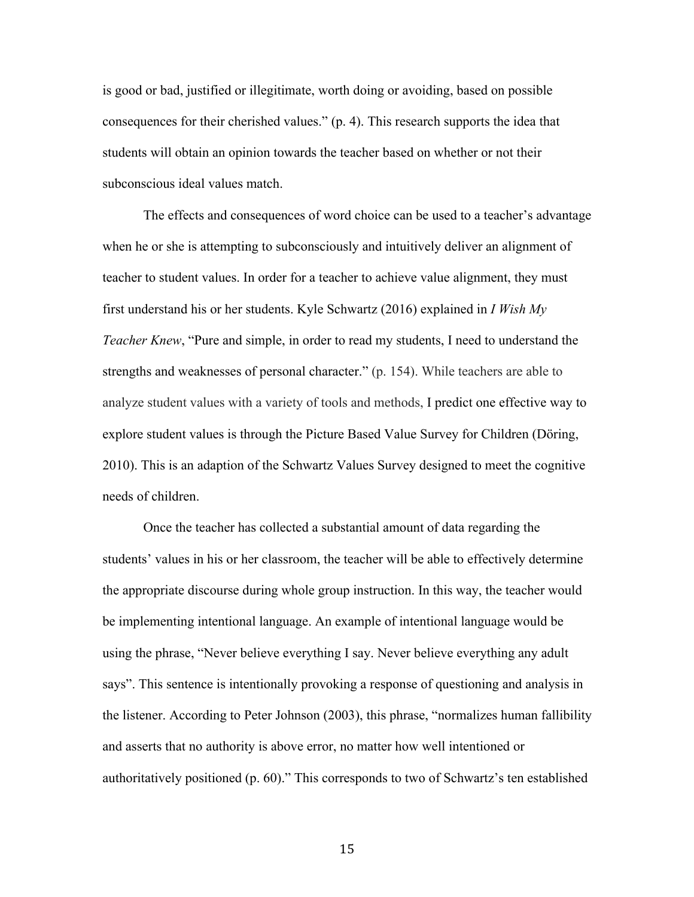is good or bad, justified or illegitimate, worth doing or avoiding, based on possible consequences for their cherished values." (p. 4). This research supports the idea that students will obtain an opinion towards the teacher based on whether or not their subconscious ideal values match.

The effects and consequences of word choice can be used to a teacher's advantage when he or she is attempting to subconsciously and intuitively deliver an alignment of teacher to student values. In order for a teacher to achieve value alignment, they must first understand his or her students. Kyle Schwartz (2016) explained in *I Wish My Teacher Knew*, "Pure and simple, in order to read my students, I need to understand the strengths and weaknesses of personal character." (p. 154). While teachers are able to analyze student values with a variety of tools and methods, I predict one effective way to explore student values is through the Picture Based Value Survey for Children (Döring, 2010). This is an adaption of the Schwartz Values Survey designed to meet the cognitive needs of children.

Once the teacher has collected a substantial amount of data regarding the students' values in his or her classroom, the teacher will be able to effectively determine the appropriate discourse during whole group instruction. In this way, the teacher would be implementing intentional language. An example of intentional language would be using the phrase, "Never believe everything I say. Never believe everything any adult says". This sentence is intentionally provoking a response of questioning and analysis in the listener. According to Peter Johnson (2003), this phrase, "normalizes human fallibility and asserts that no authority is above error, no matter how well intentioned or authoritatively positioned (p. 60)." This corresponds to two of Schwartz's ten established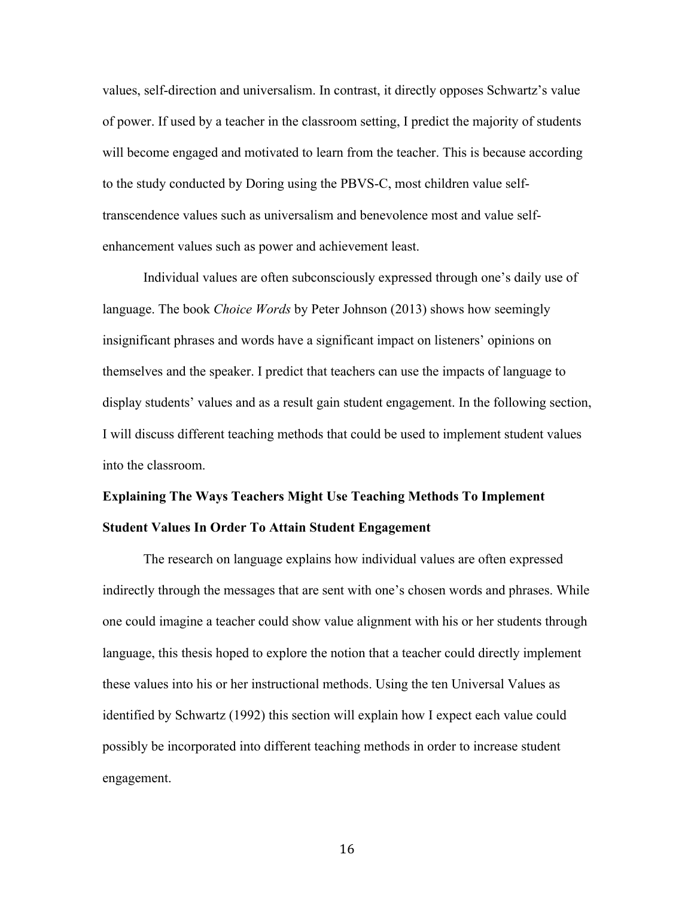values, self-direction and universalism. In contrast, it directly opposes Schwartz's value of power. If used by a teacher in the classroom setting, I predict the majority of students will become engaged and motivated to learn from the teacher. This is because according to the study conducted by Doring using the PBVS-C, most children value selftranscendence values such as universalism and benevolence most and value selfenhancement values such as power and achievement least.

Individual values are often subconsciously expressed through one's daily use of language. The book *Choice Words* by Peter Johnson (2013) shows how seemingly insignificant phrases and words have a significant impact on listeners' opinions on themselves and the speaker. I predict that teachers can use the impacts of language to display students' values and as a result gain student engagement. In the following section, I will discuss different teaching methods that could be used to implement student values into the classroom.

# **Explaining The Ways Teachers Might Use Teaching Methods To Implement Student Values In Order To Attain Student Engagement**

The research on language explains how individual values are often expressed indirectly through the messages that are sent with one's chosen words and phrases. While one could imagine a teacher could show value alignment with his or her students through language, this thesis hoped to explore the notion that a teacher could directly implement these values into his or her instructional methods. Using the ten Universal Values as identified by Schwartz (1992) this section will explain how I expect each value could possibly be incorporated into different teaching methods in order to increase student engagement.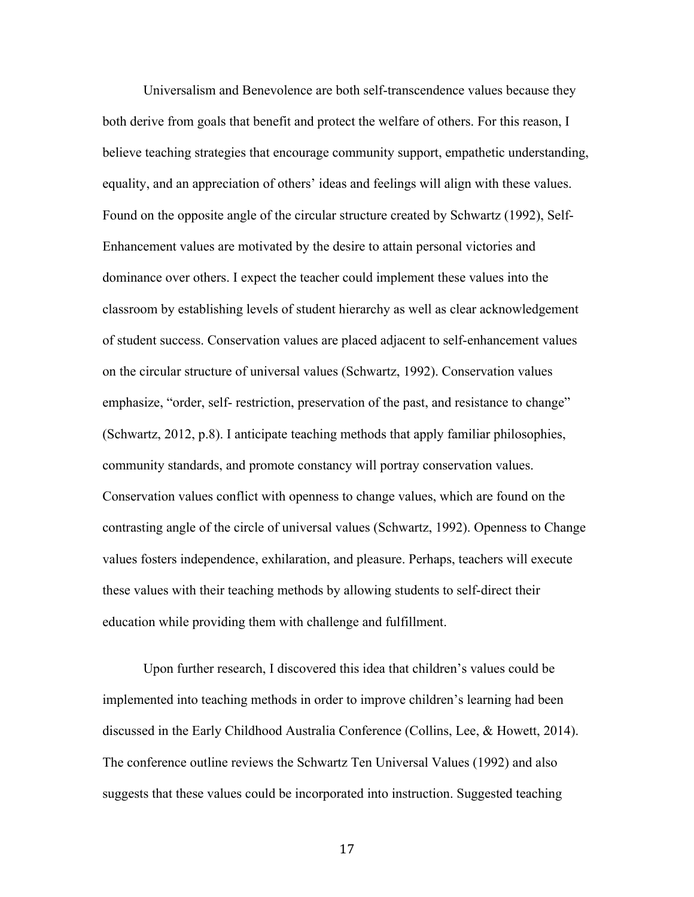Universalism and Benevolence are both self-transcendence values because they both derive from goals that benefit and protect the welfare of others. For this reason, I believe teaching strategies that encourage community support, empathetic understanding, equality, and an appreciation of others' ideas and feelings will align with these values. Found on the opposite angle of the circular structure created by Schwartz (1992), Self-Enhancement values are motivated by the desire to attain personal victories and dominance over others. I expect the teacher could implement these values into the classroom by establishing levels of student hierarchy as well as clear acknowledgement of student success. Conservation values are placed adjacent to self-enhancement values on the circular structure of universal values (Schwartz, 1992). Conservation values emphasize, "order, self- restriction, preservation of the past, and resistance to change" (Schwartz, 2012, p.8). I anticipate teaching methods that apply familiar philosophies, community standards, and promote constancy will portray conservation values. Conservation values conflict with openness to change values, which are found on the contrasting angle of the circle of universal values (Schwartz, 1992). Openness to Change values fosters independence, exhilaration, and pleasure. Perhaps, teachers will execute these values with their teaching methods by allowing students to self-direct their education while providing them with challenge and fulfillment.

Upon further research, I discovered this idea that children's values could be implemented into teaching methods in order to improve children's learning had been discussed in the Early Childhood Australia Conference (Collins, Lee, & Howett, 2014). The conference outline reviews the Schwartz Ten Universal Values (1992) and also suggests that these values could be incorporated into instruction. Suggested teaching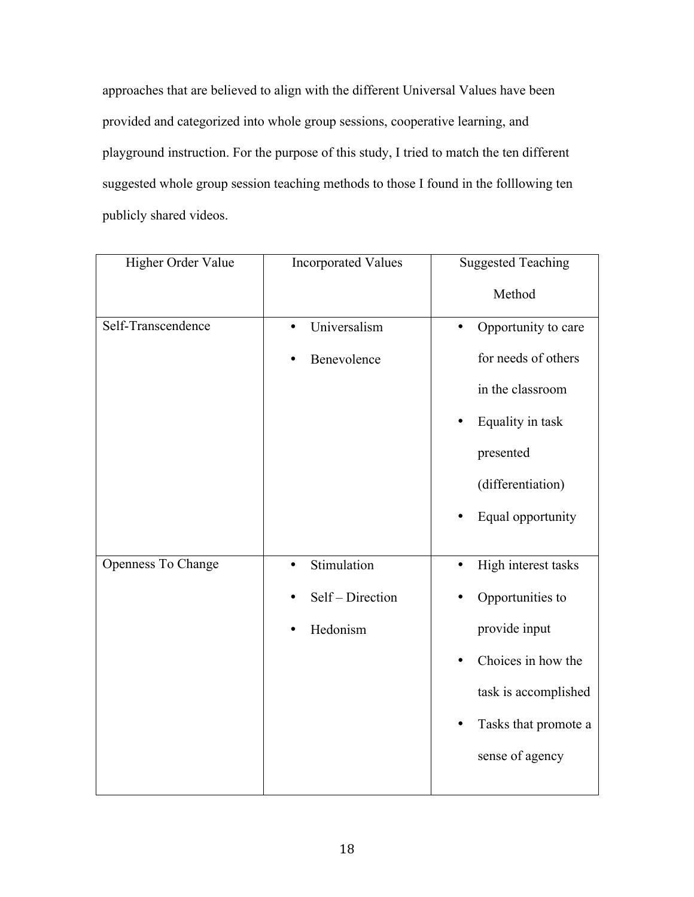approaches that are believed to align with the different Universal Values have been provided and categorized into whole group sessions, cooperative learning, and playground instruction. For the purpose of this study, I tried to match the ten different suggested whole group session teaching methods to those I found in the folllowing ten publicly shared videos.

| Higher Order Value | <b>Incorporated Values</b> | <b>Suggested Teaching</b>        |
|--------------------|----------------------------|----------------------------------|
|                    |                            | Method                           |
| Self-Transcendence | Universalism<br>$\bullet$  | Opportunity to care<br>$\bullet$ |
|                    | Benevolence                | for needs of others              |
|                    |                            | in the classroom                 |
|                    |                            | Equality in task                 |
|                    |                            | presented                        |
|                    |                            | (differentiation)                |
|                    |                            | Equal opportunity                |
|                    |                            |                                  |
| Openness To Change | Stimulation                | High interest tasks<br>$\bullet$ |
|                    | Self - Direction           | Opportunities to                 |
|                    | Hedonism                   | provide input                    |
|                    |                            | Choices in how the               |
|                    |                            | task is accomplished             |
|                    |                            | Tasks that promote a<br>٠        |
|                    |                            | sense of agency                  |
|                    |                            |                                  |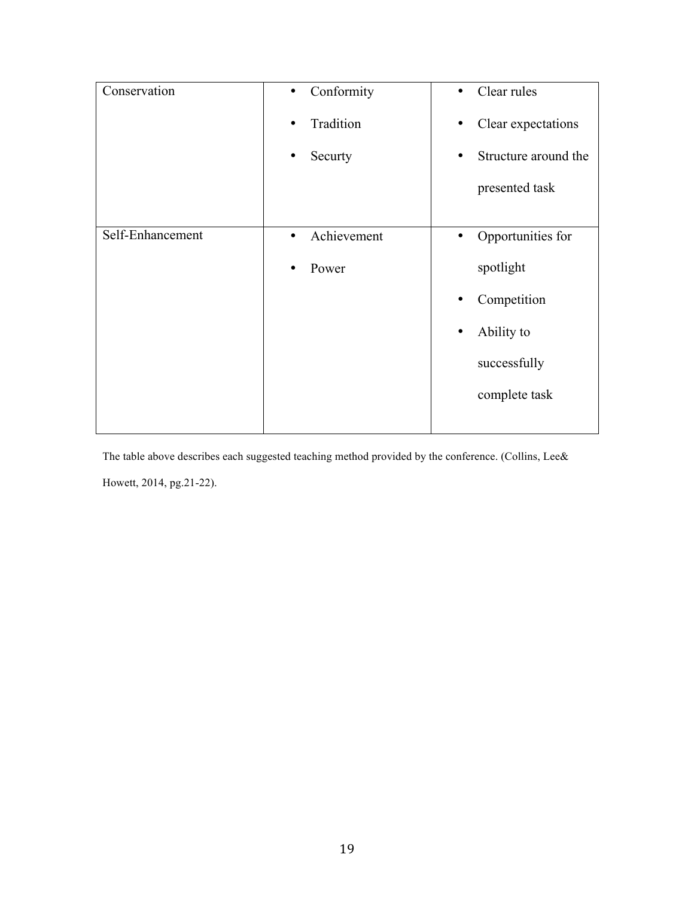| Conservation     | Conformity<br>$\bullet$  | Clear rules<br>$\bullet$ |
|------------------|--------------------------|--------------------------|
|                  | Tradition                | Clear expectations       |
|                  | Securty<br>٠             | Structure around the     |
|                  |                          | presented task           |
|                  |                          |                          |
| Self-Enhancement | Achievement<br>$\bullet$ | Opportunities for<br>٠   |
|                  | Power<br>٠               | spotlight                |
|                  |                          | Competition<br>٠         |
|                  |                          | Ability to               |
|                  |                          | successfully             |
|                  |                          | complete task            |
|                  |                          |                          |

The table above describes each suggested teaching method provided by the conference. (Collins, Lee& Howett, 2014, pg.21-22).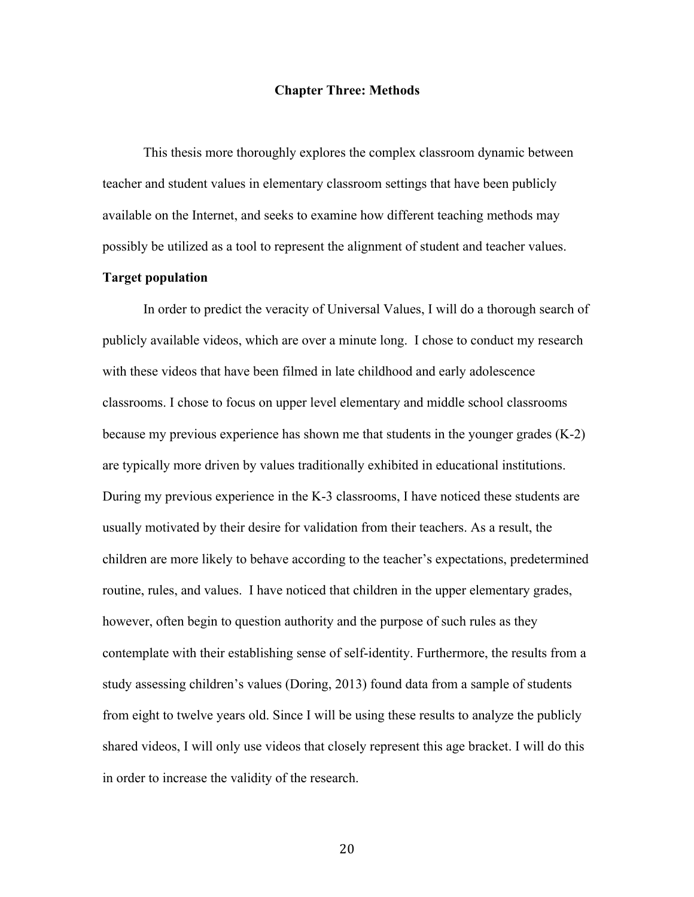#### **Chapter Three: Methods**

This thesis more thoroughly explores the complex classroom dynamic between teacher and student values in elementary classroom settings that have been publicly available on the Internet, and seeks to examine how different teaching methods may possibly be utilized as a tool to represent the alignment of student and teacher values.

#### **Target population**

In order to predict the veracity of Universal Values, I will do a thorough search of publicly available videos, which are over a minute long. I chose to conduct my research with these videos that have been filmed in late childhood and early adolescence classrooms. I chose to focus on upper level elementary and middle school classrooms because my previous experience has shown me that students in the younger grades (K-2) are typically more driven by values traditionally exhibited in educational institutions. During my previous experience in the K-3 classrooms, I have noticed these students are usually motivated by their desire for validation from their teachers. As a result, the children are more likely to behave according to the teacher's expectations, predetermined routine, rules, and values. I have noticed that children in the upper elementary grades, however, often begin to question authority and the purpose of such rules as they contemplate with their establishing sense of self-identity. Furthermore, the results from a study assessing children's values (Doring, 2013) found data from a sample of students from eight to twelve years old. Since I will be using these results to analyze the publicly shared videos, I will only use videos that closely represent this age bracket. I will do this in order to increase the validity of the research.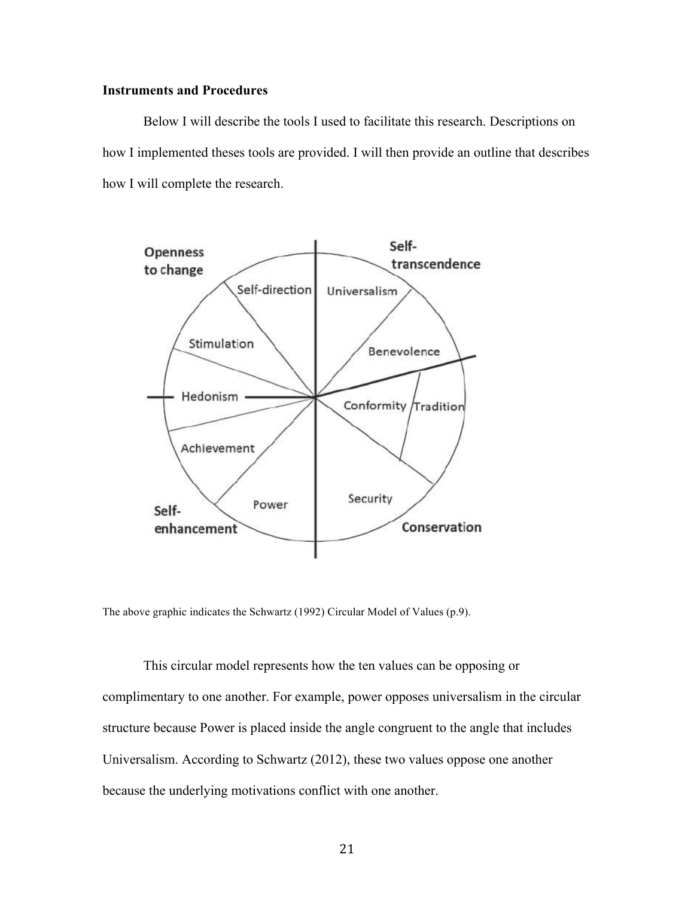#### **Instruments and Procedures**

Below I will describe the tools I used to facilitate this research. Descriptions on how I implemented theses tools are provided. I will then provide an outline that describes how I will complete the research.



The above graphic indicates the Schwartz (1992) Circular Model of Values (p.9).

This circular model represents how the ten values can be opposing or complimentary to one another. For example, power opposes universalism in the circular structure because Power is placed inside the angle congruent to the angle that includes Universalism. According to Schwartz (2012), these two values oppose one another because the underlying motivations conflict with one another.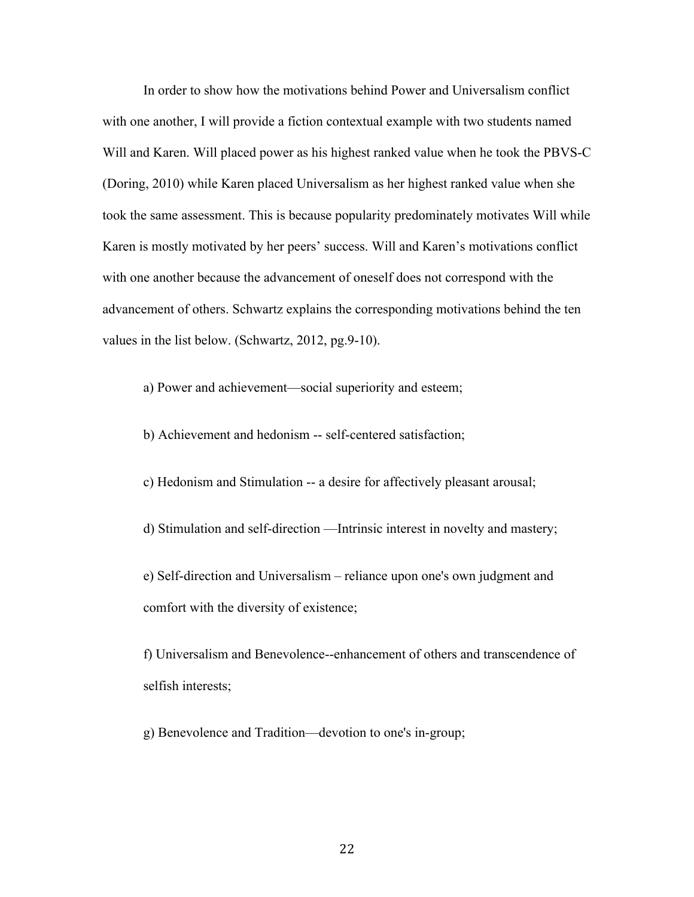In order to show how the motivations behind Power and Universalism conflict with one another, I will provide a fiction contextual example with two students named Will and Karen. Will placed power as his highest ranked value when he took the PBVS-C (Doring, 2010) while Karen placed Universalism as her highest ranked value when she took the same assessment. This is because popularity predominately motivates Will while Karen is mostly motivated by her peers' success. Will and Karen's motivations conflict with one another because the advancement of oneself does not correspond with the advancement of others. Schwartz explains the corresponding motivations behind the ten values in the list below. (Schwartz, 2012, pg.9-10).

a) Power and achievement—social superiority and esteem;

b) Achievement and hedonism -- self-centered satisfaction;

c) Hedonism and Stimulation -- a desire for affectively pleasant arousal;

d) Stimulation and self-direction —Intrinsic interest in novelty and mastery;

e) Self-direction and Universalism – reliance upon one's own judgment and comfort with the diversity of existence;

f) Universalism and Benevolence--enhancement of others and transcendence of selfish interests;

g) Benevolence and Tradition—devotion to one's in-group;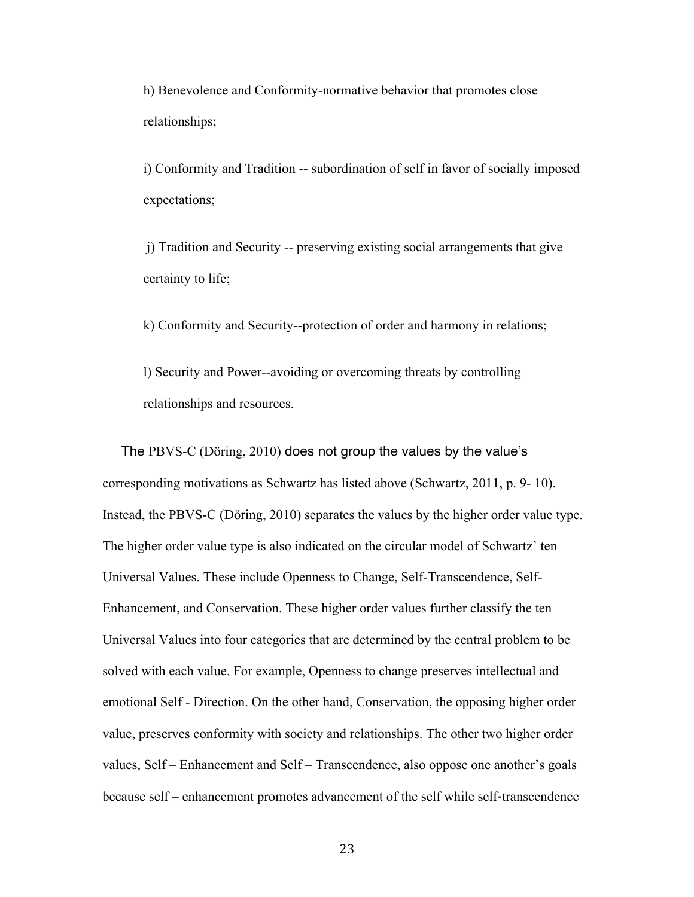h) Benevolence and Conformity-normative behavior that promotes close relationships;

i) Conformity and Tradition -- subordination of self in favor of socially imposed expectations;

j) Tradition and Security -- preserving existing social arrangements that give certainty to life;

k) Conformity and Security--protection of order and harmony in relations;

l) Security and Power--avoiding or overcoming threats by controlling relationships and resources.

 The PBVS-C (Döring, 2010) does not group the values by the value's corresponding motivations as Schwartz has listed above (Schwartz, 2011, p. 9- 10). Instead, the PBVS-C (Döring, 2010) separates the values by the higher order value type. The higher order value type is also indicated on the circular model of Schwartz' ten Universal Values. These include Openness to Change, Self-Transcendence, Self-Enhancement, and Conservation. These higher order values further classify the ten Universal Values into four categories that are determined by the central problem to be solved with each value. For example, Openness to change preserves intellectual and emotional Self - Direction. On the other hand, Conservation, the opposing higher order value, preserves conformity with society and relationships. The other two higher order values, Self – Enhancement and Self – Transcendence, also oppose one another's goals because self – enhancement promotes advancement of the self while self-transcendence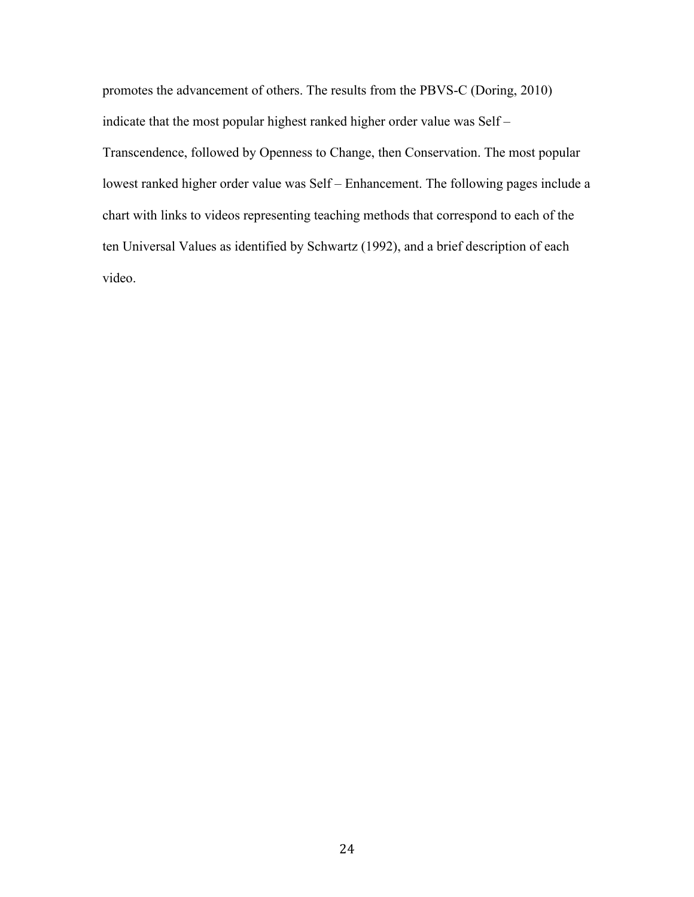promotes the advancement of others. The results from the PBVS-C (Doring, 2010) indicate that the most popular highest ranked higher order value was Self – Transcendence, followed by Openness to Change, then Conservation. The most popular lowest ranked higher order value was Self – Enhancement. The following pages include a chart with links to videos representing teaching methods that correspond to each of the ten Universal Values as identified by Schwartz (1992), and a brief description of each video.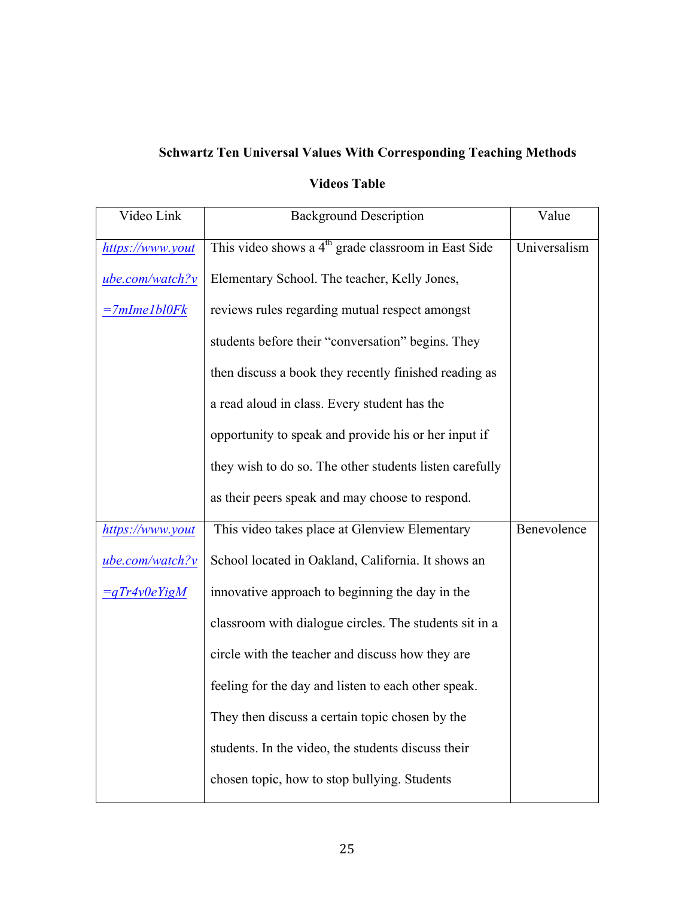# **Schwartz Ten Universal Values With Corresponding Teaching Methods**

### **Videos Table**

| Video Link          | <b>Background Description</b>                                   | Value        |
|---------------------|-----------------------------------------------------------------|--------------|
| https://www.yout    | This video shows a 4 <sup>th</sup> grade classroom in East Side | Universalism |
| ube.com/watch?v     | Elementary School. The teacher, Kelly Jones,                    |              |
| $=7$ mIme $1$ bl0Fk | reviews rules regarding mutual respect amongst                  |              |
|                     | students before their "conversation" begins. They               |              |
|                     | then discuss a book they recently finished reading as           |              |
|                     | a read aloud in class. Every student has the                    |              |
|                     | opportunity to speak and provide his or her input if            |              |
|                     | they wish to do so. The other students listen carefully         |              |
|                     | as their peers speak and may choose to respond.                 |              |
| https://www.yout    | This video takes place at Glenview Elementary                   | Benevolence  |
| $ube.com/watch?v$   | School located in Oakland, California. It shows an              |              |
| $=qTr4v0eYigM$      | innovative approach to beginning the day in the                 |              |
|                     | classroom with dialogue circles. The students sit in a          |              |
|                     | circle with the teacher and discuss how they are                |              |
|                     | feeling for the day and listen to each other speak.             |              |
|                     | They then discuss a certain topic chosen by the                 |              |
|                     | students. In the video, the students discuss their              |              |
|                     | chosen topic, how to stop bullying. Students                    |              |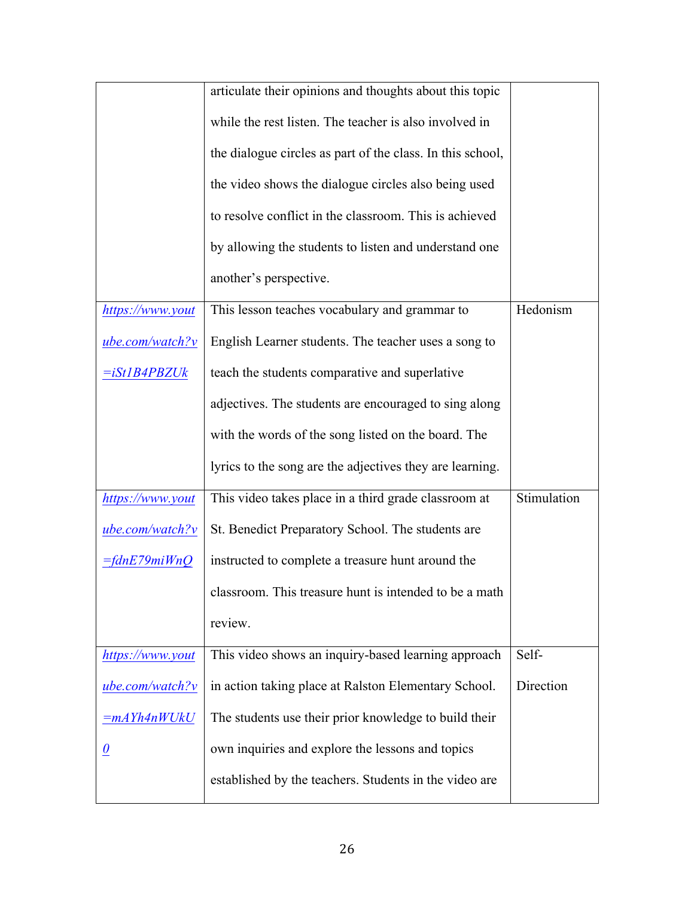|                     | articulate their opinions and thoughts about this topic    |             |
|---------------------|------------------------------------------------------------|-------------|
|                     | while the rest listen. The teacher is also involved in     |             |
|                     | the dialogue circles as part of the class. In this school, |             |
|                     | the video shows the dialogue circles also being used       |             |
|                     | to resolve conflict in the classroom. This is achieved     |             |
|                     | by allowing the students to listen and understand one      |             |
|                     | another's perspective.                                     |             |
| https://www.yout    | This lesson teaches vocabulary and grammar to              | Hedonism    |
| $ube.com/watch?v$   | English Learner students. The teacher uses a song to       |             |
| <i>=iSt1B4PBZUk</i> | teach the students comparative and superlative             |             |
|                     | adjectives. The students are encouraged to sing along      |             |
|                     | with the words of the song listed on the board. The        |             |
|                     | lyrics to the song are the adjectives they are learning.   |             |
| https://www.yout    | This video takes place in a third grade classroom at       | Stimulation |
| ube.com/watch?v     | St. Benedict Preparatory School. The students are          |             |
| $=$ fdnE79miWnQ     | instructed to complete a treasure hunt around the          |             |
|                     | classroom. This treasure hunt is intended to be a math     |             |
|                     | review.                                                    |             |
| https://www.yout    | This video shows an inquiry-based learning approach        | Self-       |
| ube.com/watch?v     | in action taking place at Ralston Elementary School.       | Direction   |
| =mAYh4nWUkU         | The students use their prior knowledge to build their      |             |
| $\theta$            | own inquiries and explore the lessons and topics           |             |
|                     | established by the teachers. Students in the video are     |             |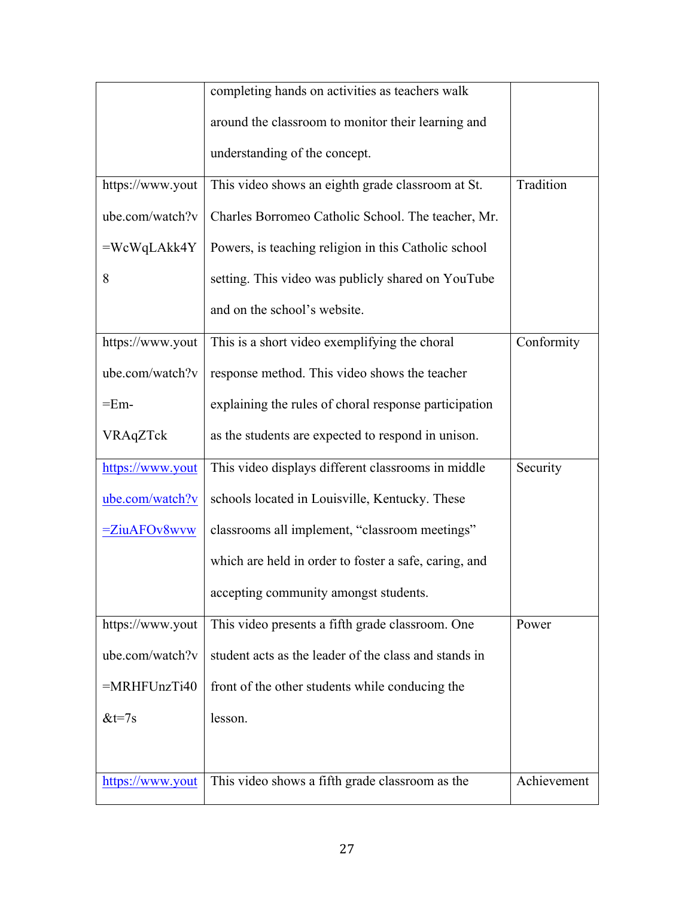|                  | completing hands on activities as teachers walk       |             |
|------------------|-------------------------------------------------------|-------------|
|                  | around the classroom to monitor their learning and    |             |
|                  | understanding of the concept.                         |             |
| https://www.yout | This video shows an eighth grade classroom at St.     | Tradition   |
| ube.com/watch?v  | Charles Borromeo Catholic School. The teacher, Mr.    |             |
| $=WcWqLAkk4Y$    | Powers, is teaching religion in this Catholic school  |             |
| 8                | setting. This video was publicly shared on YouTube    |             |
|                  | and on the school's website.                          |             |
| https://www.yout | This is a short video exemplifying the choral         | Conformity  |
| ube.com/watch?v  | response method. This video shows the teacher         |             |
| $=Em-$           | explaining the rules of choral response participation |             |
| VRAqZTck         | as the students are expected to respond in unison.    |             |
| https://www.yout | This video displays different classrooms in middle    | Security    |
| ube.com/watch?v  | schools located in Louisville, Kentucky. These        |             |
| $= ZiuAFOv8wvw$  | classrooms all implement, "classroom meetings"        |             |
|                  | which are held in order to foster a safe, caring, and |             |
|                  | accepting community amongst students.                 |             |
| https://www.yout | This video presents a fifth grade classroom. One      | Power       |
| ube.com/watch?v  | student acts as the leader of the class and stands in |             |
| $=MRHFUnzTi40$   | front of the other students while conducing the       |             |
| $&t=7s$          | lesson.                                               |             |
|                  |                                                       |             |
| https://www.yout | This video shows a fifth grade classroom as the       | Achievement |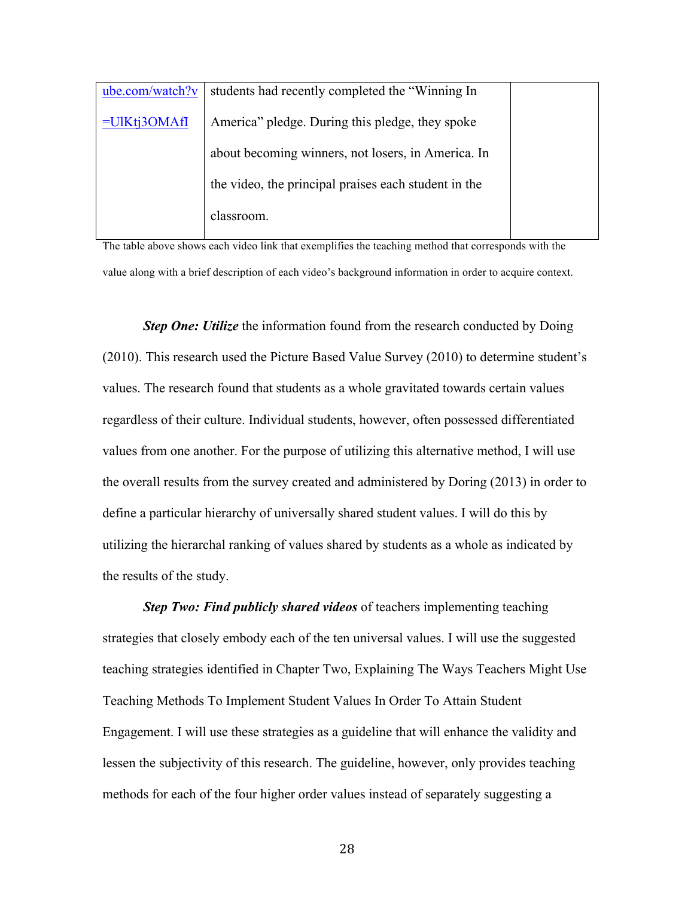| ube.com/watch?v | students had recently completed the "Winning In      |  |
|-----------------|------------------------------------------------------|--|
| $=UIKtj3OMAff$  | America" pledge. During this pledge, they spoke      |  |
|                 | about becoming winners, not losers, in America. In   |  |
|                 | the video, the principal praises each student in the |  |
|                 | classroom.                                           |  |

The table above shows each video link that exemplifies the teaching method that corresponds with the value along with a brief description of each video's background information in order to acquire context.

*Step One: Utilize* the information found from the research conducted by Doing (2010). This research used the Picture Based Value Survey (2010) to determine student's values. The research found that students as a whole gravitated towards certain values regardless of their culture. Individual students, however, often possessed differentiated values from one another. For the purpose of utilizing this alternative method, I will use the overall results from the survey created and administered by Doring (2013) in order to define a particular hierarchy of universally shared student values. I will do this by utilizing the hierarchal ranking of values shared by students as a whole as indicated by the results of the study.

*Step Two: Find publicly shared videos* of teachers implementing teaching strategies that closely embody each of the ten universal values. I will use the suggested teaching strategies identified in Chapter Two, Explaining The Ways Teachers Might Use Teaching Methods To Implement Student Values In Order To Attain Student Engagement. I will use these strategies as a guideline that will enhance the validity and lessen the subjectivity of this research. The guideline, however, only provides teaching methods for each of the four higher order values instead of separately suggesting a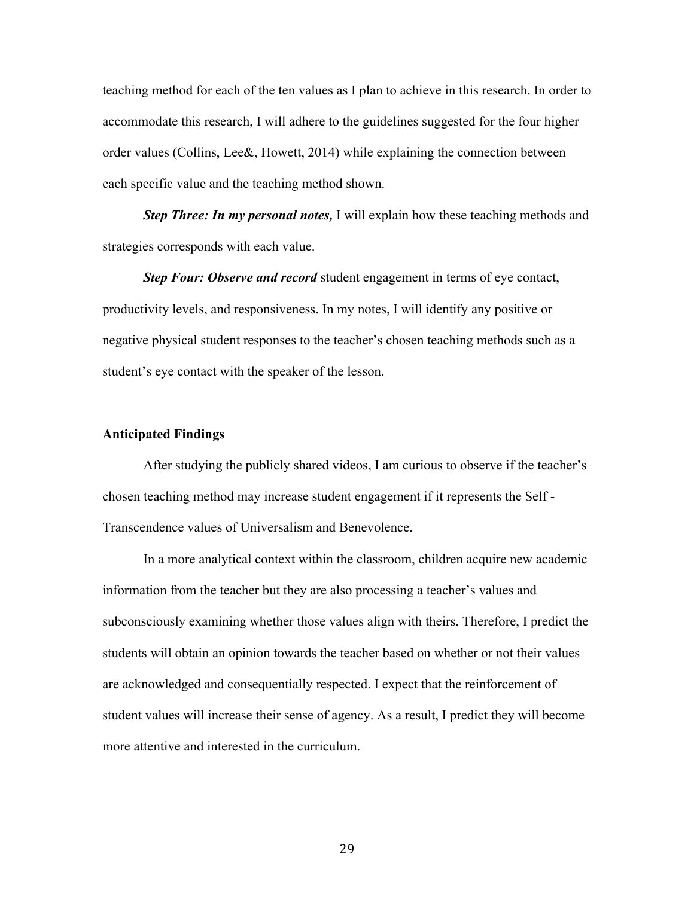teaching method for each of the ten values as I plan to achieve in this research. In order to accommodate this research, I will adhere to the guidelines suggested for the four higher order values (Collins, Lee&, Howett, 2014) while explaining the connection between each specific value and the teaching method shown.

*Step Three: In my personal notes,* I will explain how these teaching methods and strategies corresponds with each value.

*Step Four: Observe and record* student engagement in terms of eye contact, productivity levels, and responsiveness. In my notes, I will identify any positive or negative physical student responses to the teacher's chosen teaching methods such as a student's eye contact with the speaker of the lesson.

#### **Anticipated Findings**

 After studying the publicly shared videos, I am curious to observe if the teacher's chosen teaching method may increase student engagement if it represents the Self - Transcendence values of Universalism and Benevolence.

 In a more analytical context within the classroom, children acquire new academic information from the teacher but they are also processing a teacher's values and subconsciously examining whether those values align with theirs. Therefore, I predict the students will obtain an opinion towards the teacher based on whether or not their values are acknowledged and consequentially respected. I expect that the reinforcement of student values will increase their sense of agency. As a result, I predict they will become more attentive and interested in the curriculum.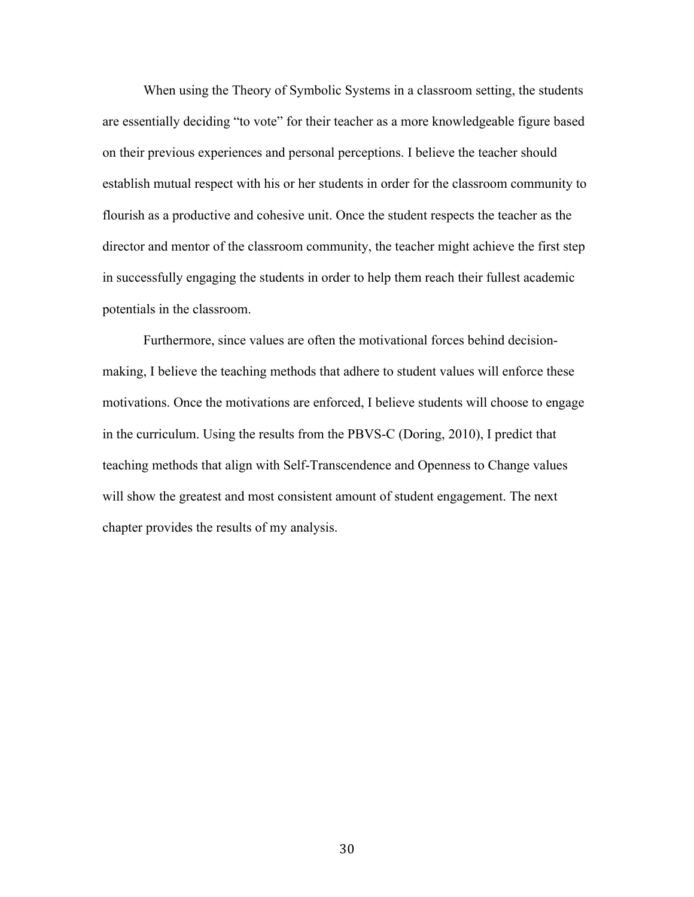When using the Theory of Symbolic Systems in a classroom setting, the students are essentially deciding "to vote" for their teacher as a more knowledgeable figure based on their previous experiences and personal perceptions. I believe the teacher should establish mutual respect with his or her students in order for the classroom community to flourish as a productive and cohesive unit. Once the student respects the teacher as the director and mentor of the classroom community, the teacher might achieve the first step in successfully engaging the students in order to help them reach their fullest academic potentials in the classroom.

Furthermore, since values are often the motivational forces behind decisionmaking, I believe the teaching methods that adhere to student values will enforce these motivations. Once the motivations are enforced, I believe students will choose to engage in the curriculum. Using the results from the PBVS-C (Doring, 2010), I predict that teaching methods that align with Self-Transcendence and Openness to Change values will show the greatest and most consistent amount of student engagement. The next chapter provides the results of my analysis.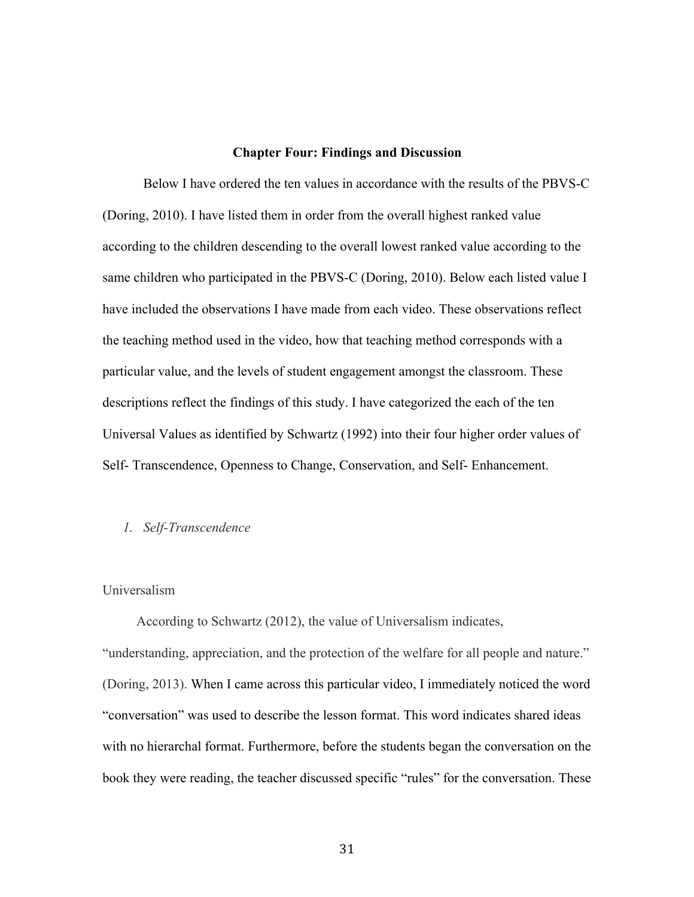#### **Chapter Four: Findings and Discussion**

Below I have ordered the ten values in accordance with the results of the PBVS-C (Doring, 2010). I have listed them in order from the overall highest ranked value according to the children descending to the overall lowest ranked value according to the same children who participated in the PBVS-C (Doring, 2010). Below each listed value I have included the observations I have made from each video. These observations reflect the teaching method used in the video, how that teaching method corresponds with a particular value, and the levels of student engagement amongst the classroom. These descriptions reflect the findings of this study. I have categorized the each of the ten Universal Values as identified by Schwartz (1992) into their four higher order values of Self- Transcendence, Openness to Change, Conservation, and Self- Enhancement.

#### *1. Self-Transcendence*

#### Universalism

According to Schwartz (2012), the value of Universalism indicates, "understanding, appreciation, and the protection of the welfare for all people and nature." (Doring, 2013). When I came across this particular video, I immediately noticed the word "conversation" was used to describe the lesson format. This word indicates shared ideas with no hierarchal format. Furthermore, before the students began the conversation on the book they were reading, the teacher discussed specific "rules" for the conversation. These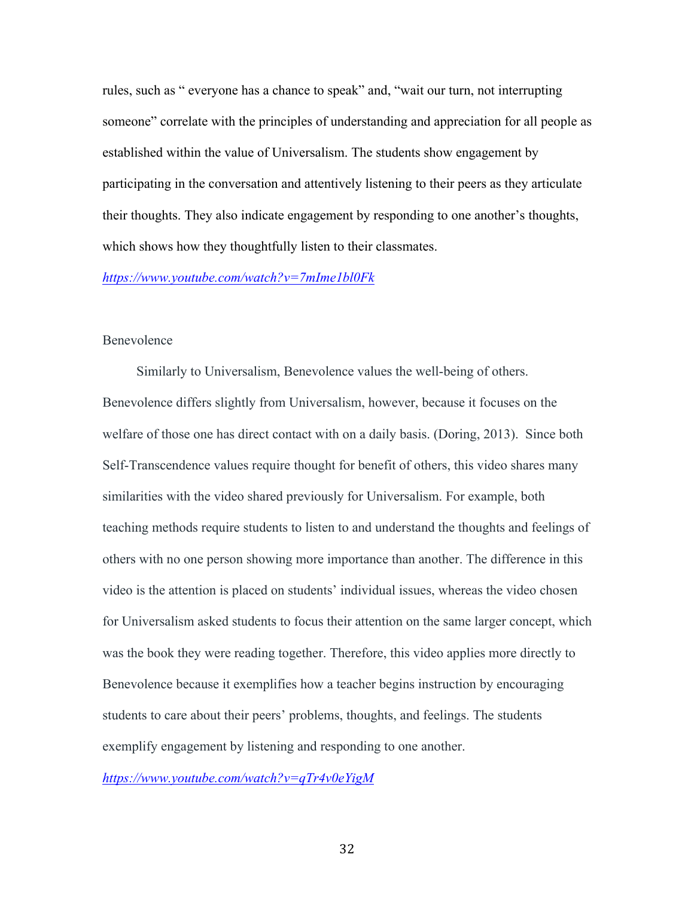rules, such as " everyone has a chance to speak" and, "wait our turn, not interrupting someone" correlate with the principles of understanding and appreciation for all people as established within the value of Universalism. The students show engagement by participating in the conversation and attentively listening to their peers as they articulate their thoughts. They also indicate engagement by responding to one another's thoughts, which shows how they thoughtfully listen to their classmates.

#### *https://www.youtube.com/watch?v=7mIme1bl0Fk*

#### Benevolence

Similarly to Universalism, Benevolence values the well-being of others. Benevolence differs slightly from Universalism, however, because it focuses on the welfare of those one has direct contact with on a daily basis. (Doring, 2013). Since both Self-Transcendence values require thought for benefit of others, this video shares many similarities with the video shared previously for Universalism. For example, both teaching methods require students to listen to and understand the thoughts and feelings of others with no one person showing more importance than another. The difference in this video is the attention is placed on students' individual issues, whereas the video chosen for Universalism asked students to focus their attention on the same larger concept, which was the book they were reading together. Therefore, this video applies more directly to Benevolence because it exemplifies how a teacher begins instruction by encouraging students to care about their peers' problems, thoughts, and feelings. The students exemplify engagement by listening and responding to one another.

*https://www.youtube.com/watch?v=qTr4v0eYigM*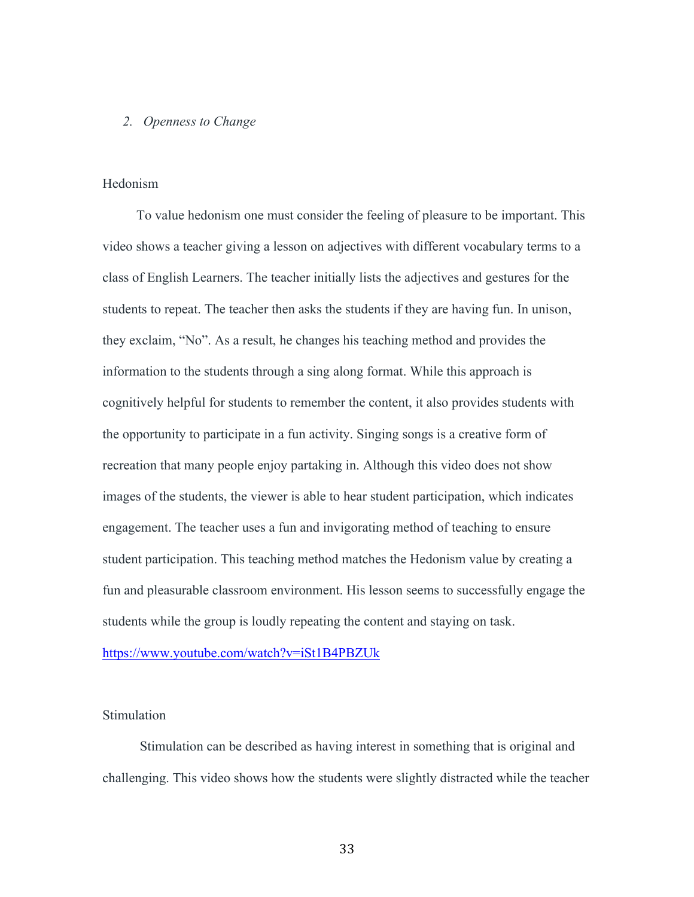#### *2. Openness to Change*

#### Hedonism

 To value hedonism one must consider the feeling of pleasure to be important. This video shows a teacher giving a lesson on adjectives with different vocabulary terms to a class of English Learners. The teacher initially lists the adjectives and gestures for the students to repeat. The teacher then asks the students if they are having fun. In unison, they exclaim, "No". As a result, he changes his teaching method and provides the information to the students through a sing along format. While this approach is cognitively helpful for students to remember the content, it also provides students with the opportunity to participate in a fun activity. Singing songs is a creative form of recreation that many people enjoy partaking in. Although this video does not show images of the students, the viewer is able to hear student participation, which indicates engagement. The teacher uses a fun and invigorating method of teaching to ensure student participation. This teaching method matches the Hedonism value by creating a fun and pleasurable classroom environment. His lesson seems to successfully engage the students while the group is loudly repeating the content and staying on task.

#### https://www.youtube.com/watch?v=iSt1B4PBZUk

#### **Stimulation**

 Stimulation can be described as having interest in something that is original and challenging. This video shows how the students were slightly distracted while the teacher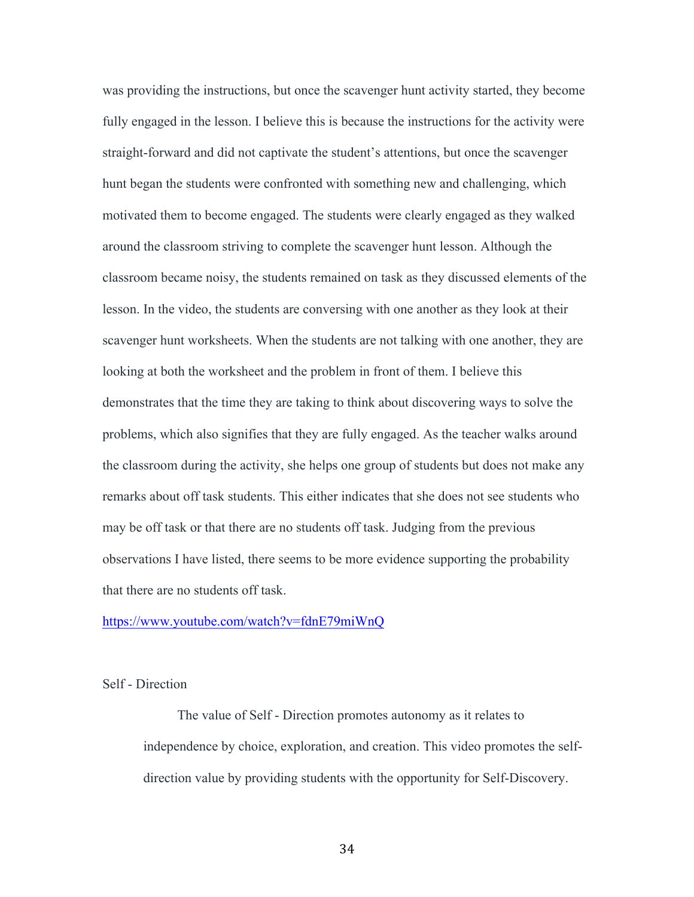was providing the instructions, but once the scavenger hunt activity started, they become fully engaged in the lesson. I believe this is because the instructions for the activity were straight-forward and did not captivate the student's attentions, but once the scavenger hunt began the students were confronted with something new and challenging, which motivated them to become engaged. The students were clearly engaged as they walked around the classroom striving to complete the scavenger hunt lesson. Although the classroom became noisy, the students remained on task as they discussed elements of the lesson. In the video, the students are conversing with one another as they look at their scavenger hunt worksheets. When the students are not talking with one another, they are looking at both the worksheet and the problem in front of them. I believe this demonstrates that the time they are taking to think about discovering ways to solve the problems, which also signifies that they are fully engaged. As the teacher walks around the classroom during the activity, she helps one group of students but does not make any remarks about off task students. This either indicates that she does not see students who may be off task or that there are no students off task. Judging from the previous observations I have listed, there seems to be more evidence supporting the probability that there are no students off task.

#### https://www.youtube.com/watch?v=fdnE79miWnQ

#### Self - Direction

 The value of Self - Direction promotes autonomy as it relates to independence by choice, exploration, and creation. This video promotes the selfdirection value by providing students with the opportunity for Self-Discovery.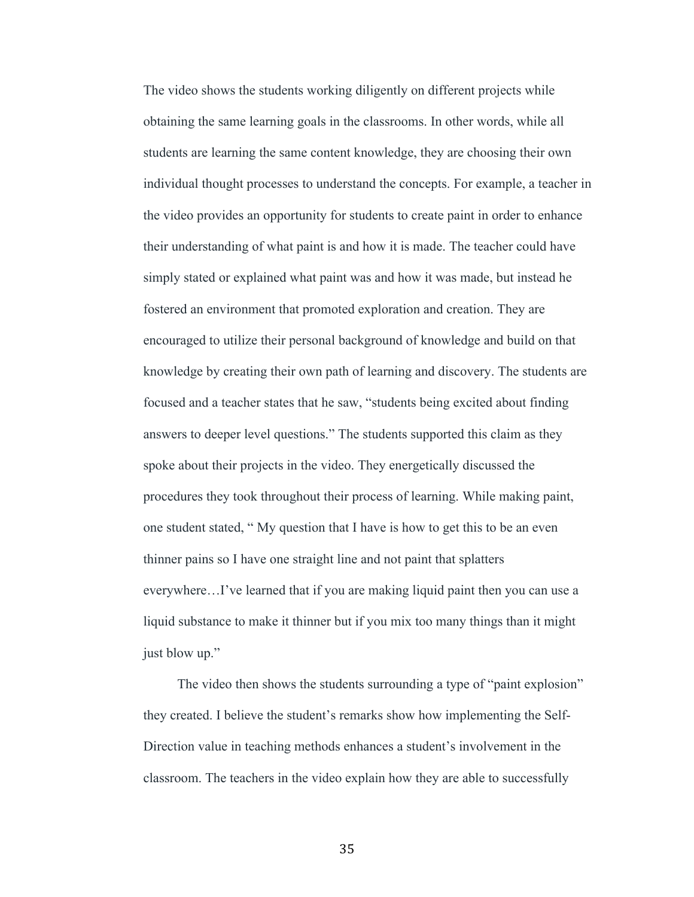The video shows the students working diligently on different projects while obtaining the same learning goals in the classrooms. In other words, while all students are learning the same content knowledge, they are choosing their own individual thought processes to understand the concepts. For example, a teacher in the video provides an opportunity for students to create paint in order to enhance their understanding of what paint is and how it is made. The teacher could have simply stated or explained what paint was and how it was made, but instead he fostered an environment that promoted exploration and creation. They are encouraged to utilize their personal background of knowledge and build on that knowledge by creating their own path of learning and discovery. The students are focused and a teacher states that he saw, "students being excited about finding answers to deeper level questions." The students supported this claim as they spoke about their projects in the video. They energetically discussed the procedures they took throughout their process of learning. While making paint, one student stated, " My question that I have is how to get this to be an even thinner pains so I have one straight line and not paint that splatters everywhere…I've learned that if you are making liquid paint then you can use a liquid substance to make it thinner but if you mix too many things than it might just blow up."

 The video then shows the students surrounding a type of "paint explosion" they created. I believe the student's remarks show how implementing the Self-Direction value in teaching methods enhances a student's involvement in the classroom. The teachers in the video explain how they are able to successfully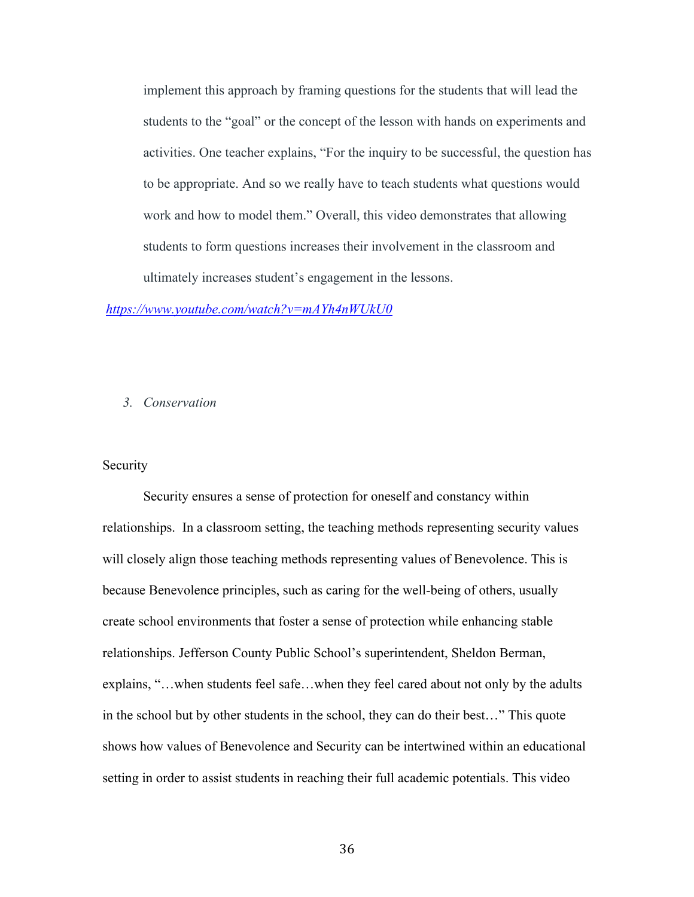implement this approach by framing questions for the students that will lead the students to the "goal" or the concept of the lesson with hands on experiments and activities. One teacher explains, "For the inquiry to be successful, the question has to be appropriate. And so we really have to teach students what questions would work and how to model them." Overall, this video demonstrates that allowing students to form questions increases their involvement in the classroom and ultimately increases student's engagement in the lessons.

#### *https://www.youtube.com/watch?v=mAYh4nWUkU0*

#### *3. Conservation*

#### **Security**

Security ensures a sense of protection for oneself and constancy within relationships. In a classroom setting, the teaching methods representing security values will closely align those teaching methods representing values of Benevolence. This is because Benevolence principles, such as caring for the well-being of others, usually create school environments that foster a sense of protection while enhancing stable relationships. Jefferson County Public School's superintendent, Sheldon Berman, explains, "…when students feel safe…when they feel cared about not only by the adults in the school but by other students in the school, they can do their best…" This quote shows how values of Benevolence and Security can be intertwined within an educational setting in order to assist students in reaching their full academic potentials. This video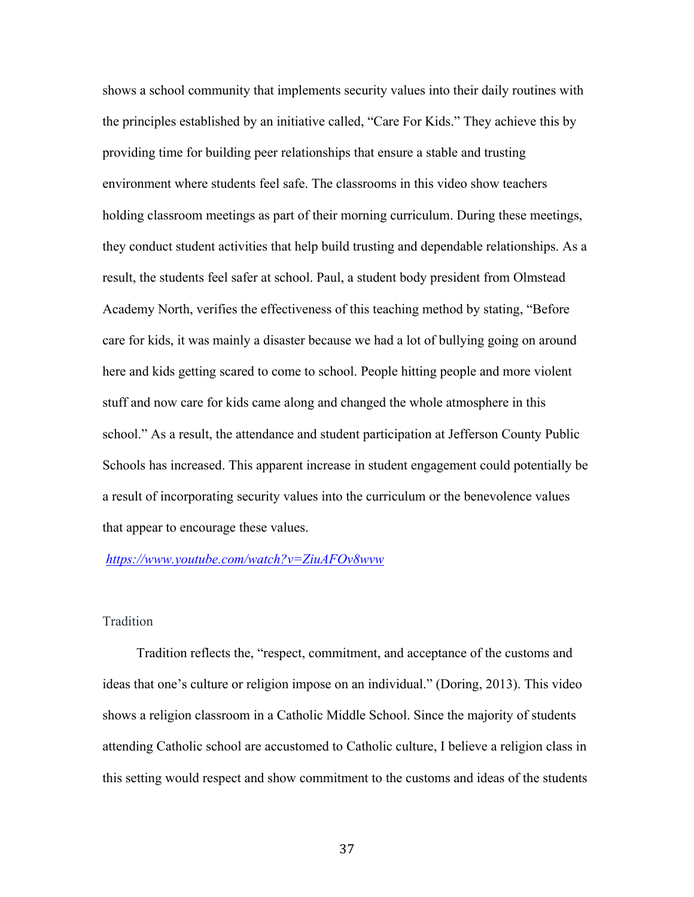shows a school community that implements security values into their daily routines with the principles established by an initiative called, "Care For Kids." They achieve this by providing time for building peer relationships that ensure a stable and trusting environment where students feel safe. The classrooms in this video show teachers holding classroom meetings as part of their morning curriculum. During these meetings, they conduct student activities that help build trusting and dependable relationships. As a result, the students feel safer at school. Paul, a student body president from Olmstead Academy North, verifies the effectiveness of this teaching method by stating, "Before care for kids, it was mainly a disaster because we had a lot of bullying going on around here and kids getting scared to come to school. People hitting people and more violent stuff and now care for kids came along and changed the whole atmosphere in this school." As a result, the attendance and student participation at Jefferson County Public Schools has increased. This apparent increase in student engagement could potentially be a result of incorporating security values into the curriculum or the benevolence values that appear to encourage these values.

*https://www.youtube.com/watch?v=ZiuAFOv8wvw*

#### Tradition

 Tradition reflects the, "respect, commitment, and acceptance of the customs and ideas that one's culture or religion impose on an individual." (Doring, 2013). This video shows a religion classroom in a Catholic Middle School. Since the majority of students attending Catholic school are accustomed to Catholic culture, I believe a religion class in this setting would respect and show commitment to the customs and ideas of the students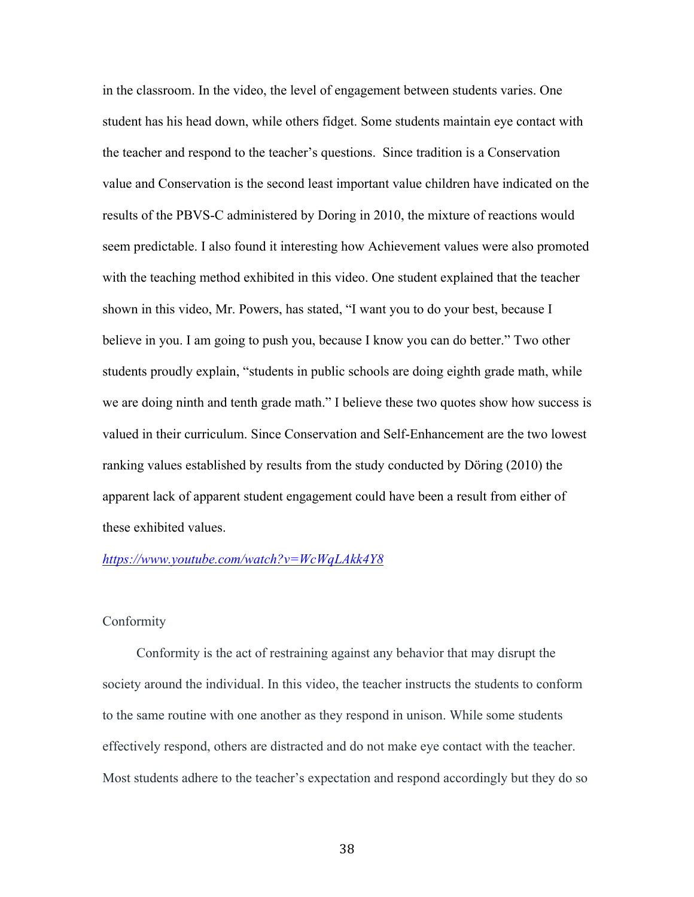in the classroom. In the video, the level of engagement between students varies. One student has his head down, while others fidget. Some students maintain eye contact with the teacher and respond to the teacher's questions. Since tradition is a Conservation value and Conservation is the second least important value children have indicated on the results of the PBVS-C administered by Doring in 2010, the mixture of reactions would seem predictable. I also found it interesting how Achievement values were also promoted with the teaching method exhibited in this video. One student explained that the teacher shown in this video, Mr. Powers, has stated, "I want you to do your best, because I believe in you. I am going to push you, because I know you can do better." Two other students proudly explain, "students in public schools are doing eighth grade math, while we are doing ninth and tenth grade math." I believe these two quotes show how success is valued in their curriculum. Since Conservation and Self-Enhancement are the two lowest ranking values established by results from the study conducted by Döring (2010) the apparent lack of apparent student engagement could have been a result from either of these exhibited values.

#### *https://www.youtube.com/watch?v=WcWqLAkk4Y8*

#### Conformity

 Conformity is the act of restraining against any behavior that may disrupt the society around the individual. In this video, the teacher instructs the students to conform to the same routine with one another as they respond in unison. While some students effectively respond, others are distracted and do not make eye contact with the teacher. Most students adhere to the teacher's expectation and respond accordingly but they do so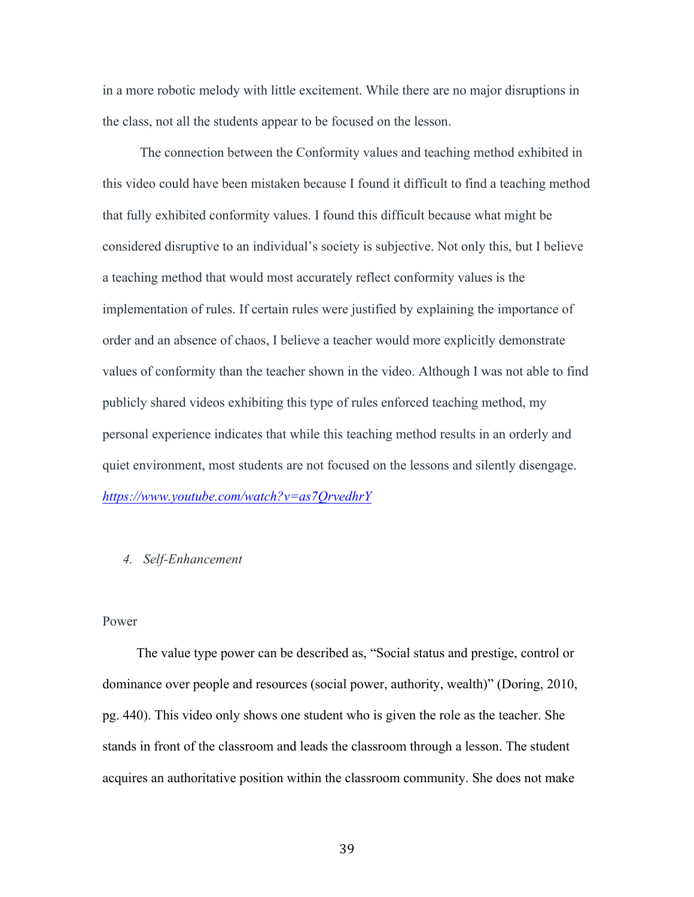in a more robotic melody with little excitement. While there are no major disruptions in the class, not all the students appear to be focused on the lesson.

 The connection between the Conformity values and teaching method exhibited in this video could have been mistaken because I found it difficult to find a teaching method that fully exhibited conformity values. I found this difficult because what might be considered disruptive to an individual's society is subjective. Not only this, but I believe a teaching method that would most accurately reflect conformity values is the implementation of rules. If certain rules were justified by explaining the importance of order and an absence of chaos, I believe a teacher would more explicitly demonstrate values of conformity than the teacher shown in the video. Although I was not able to find publicly shared videos exhibiting this type of rules enforced teaching method, my personal experience indicates that while this teaching method results in an orderly and quiet environment, most students are not focused on the lessons and silently disengage. *https://www.youtube.com/watch?v=as7QrvedhrY*

#### *4. Self-Enhancement*

#### Power

The value type power can be described as, "Social status and prestige, control or dominance over people and resources (social power, authority, wealth)" (Doring, 2010, pg. 440). This video only shows one student who is given the role as the teacher. She stands in front of the classroom and leads the classroom through a lesson. The student acquires an authoritative position within the classroom community. She does not make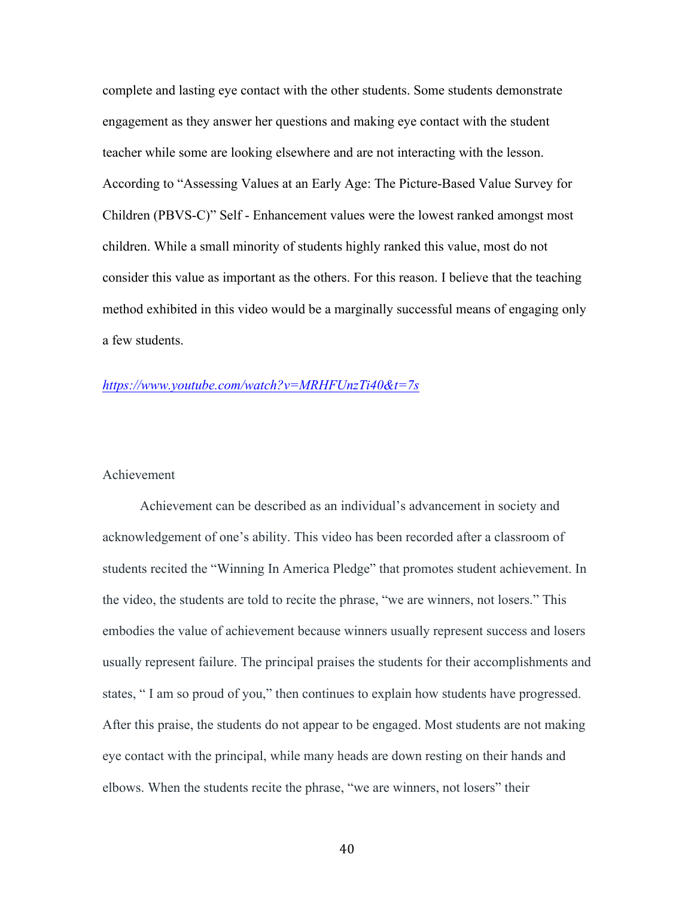complete and lasting eye contact with the other students. Some students demonstrate engagement as they answer her questions and making eye contact with the student teacher while some are looking elsewhere and are not interacting with the lesson. According to "Assessing Values at an Early Age: The Picture-Based Value Survey for Children (PBVS-C)" Self - Enhancement values were the lowest ranked amongst most children. While a small minority of students highly ranked this value, most do not consider this value as important as the others. For this reason. I believe that the teaching method exhibited in this video would be a marginally successful means of engaging only a few students.

#### *https://www.youtube.com/watch?v=MRHFUnzTi40&t=7s*

#### Achievement

Achievement can be described as an individual's advancement in society and acknowledgement of one's ability. This video has been recorded after a classroom of students recited the "Winning In America Pledge" that promotes student achievement. In the video, the students are told to recite the phrase, "we are winners, not losers." This embodies the value of achievement because winners usually represent success and losers usually represent failure. The principal praises the students for their accomplishments and states, " I am so proud of you," then continues to explain how students have progressed. After this praise, the students do not appear to be engaged. Most students are not making eye contact with the principal, while many heads are down resting on their hands and elbows. When the students recite the phrase, "we are winners, not losers" their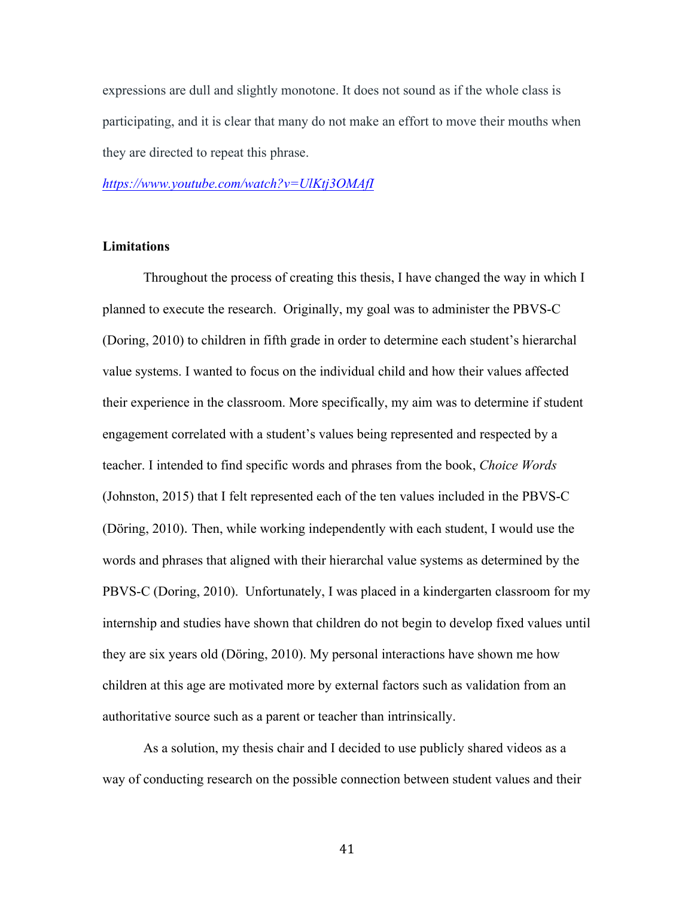expressions are dull and slightly monotone. It does not sound as if the whole class is participating, and it is clear that many do not make an effort to move their mouths when they are directed to repeat this phrase.

*https://www.youtube.com/watch?v=UlKtj3OMAfI*

#### **Limitations**

Throughout the process of creating this thesis, I have changed the way in which I planned to execute the research. Originally, my goal was to administer the PBVS-C (Doring, 2010) to children in fifth grade in order to determine each student's hierarchal value systems. I wanted to focus on the individual child and how their values affected their experience in the classroom. More specifically, my aim was to determine if student engagement correlated with a student's values being represented and respected by a teacher. I intended to find specific words and phrases from the book, *Choice Words* (Johnston, 2015) that I felt represented each of the ten values included in the PBVS-C (Döring, 2010). Then, while working independently with each student, I would use the words and phrases that aligned with their hierarchal value systems as determined by the PBVS-C (Doring, 2010). Unfortunately, I was placed in a kindergarten classroom for my internship and studies have shown that children do not begin to develop fixed values until they are six years old (Döring, 2010). My personal interactions have shown me how children at this age are motivated more by external factors such as validation from an authoritative source such as a parent or teacher than intrinsically.

As a solution, my thesis chair and I decided to use publicly shared videos as a way of conducting research on the possible connection between student values and their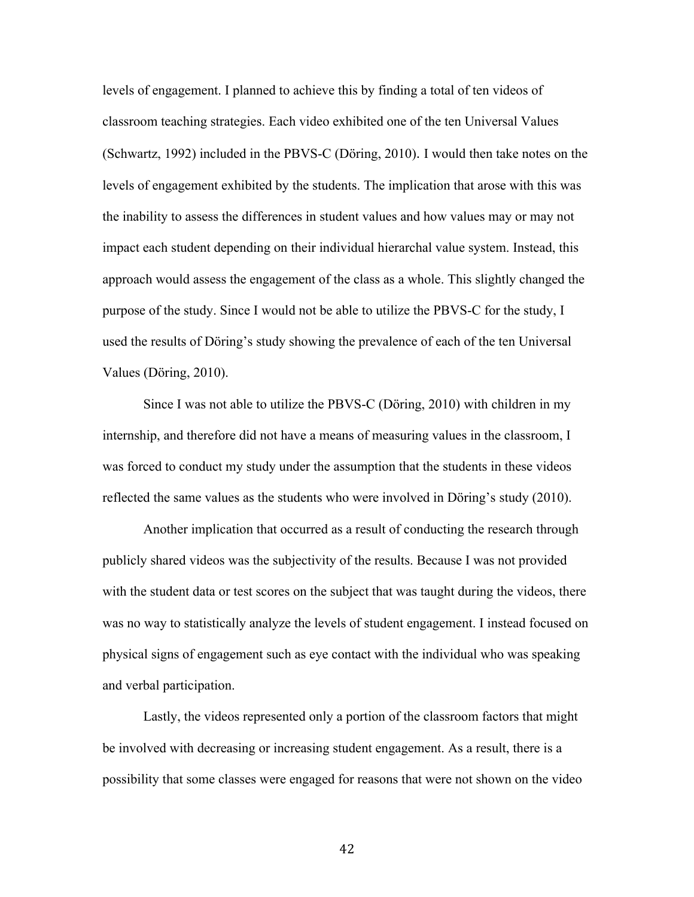levels of engagement. I planned to achieve this by finding a total of ten videos of classroom teaching strategies. Each video exhibited one of the ten Universal Values (Schwartz, 1992) included in the PBVS-C (Döring, 2010). I would then take notes on the levels of engagement exhibited by the students. The implication that arose with this was the inability to assess the differences in student values and how values may or may not impact each student depending on their individual hierarchal value system. Instead, this approach would assess the engagement of the class as a whole. This slightly changed the purpose of the study. Since I would not be able to utilize the PBVS-C for the study, I used the results of Döring's study showing the prevalence of each of the ten Universal Values (Döring, 2010).

Since I was not able to utilize the PBVS-C (Döring, 2010) with children in my internship, and therefore did not have a means of measuring values in the classroom, I was forced to conduct my study under the assumption that the students in these videos reflected the same values as the students who were involved in Döring's study (2010).

Another implication that occurred as a result of conducting the research through publicly shared videos was the subjectivity of the results. Because I was not provided with the student data or test scores on the subject that was taught during the videos, there was no way to statistically analyze the levels of student engagement. I instead focused on physical signs of engagement such as eye contact with the individual who was speaking and verbal participation.

Lastly, the videos represented only a portion of the classroom factors that might be involved with decreasing or increasing student engagement. As a result, there is a possibility that some classes were engaged for reasons that were not shown on the video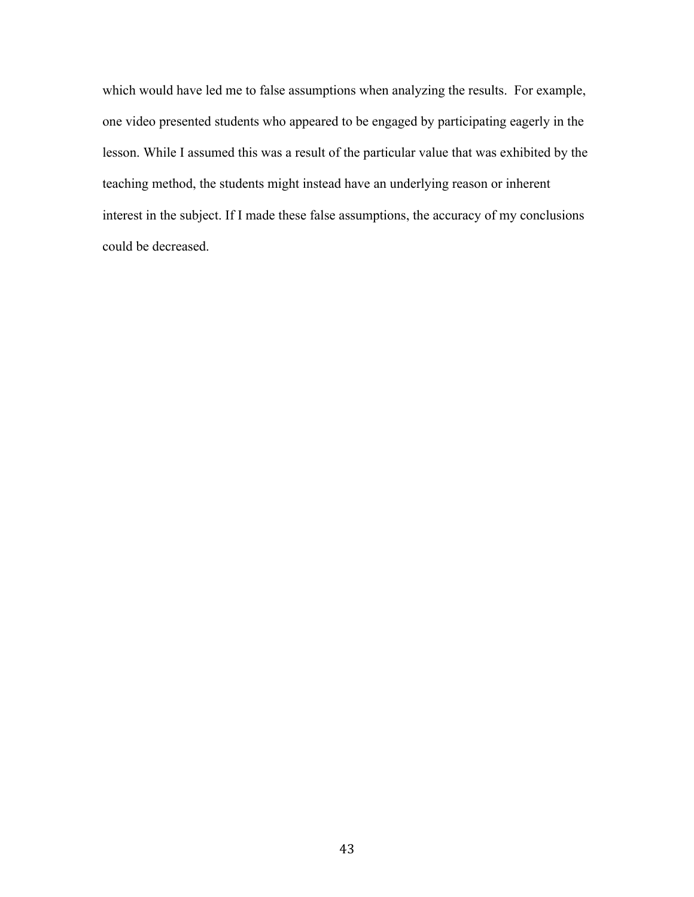which would have led me to false assumptions when analyzing the results. For example, one video presented students who appeared to be engaged by participating eagerly in the lesson. While I assumed this was a result of the particular value that was exhibited by the teaching method, the students might instead have an underlying reason or inherent interest in the subject. If I made these false assumptions, the accuracy of my conclusions could be decreased.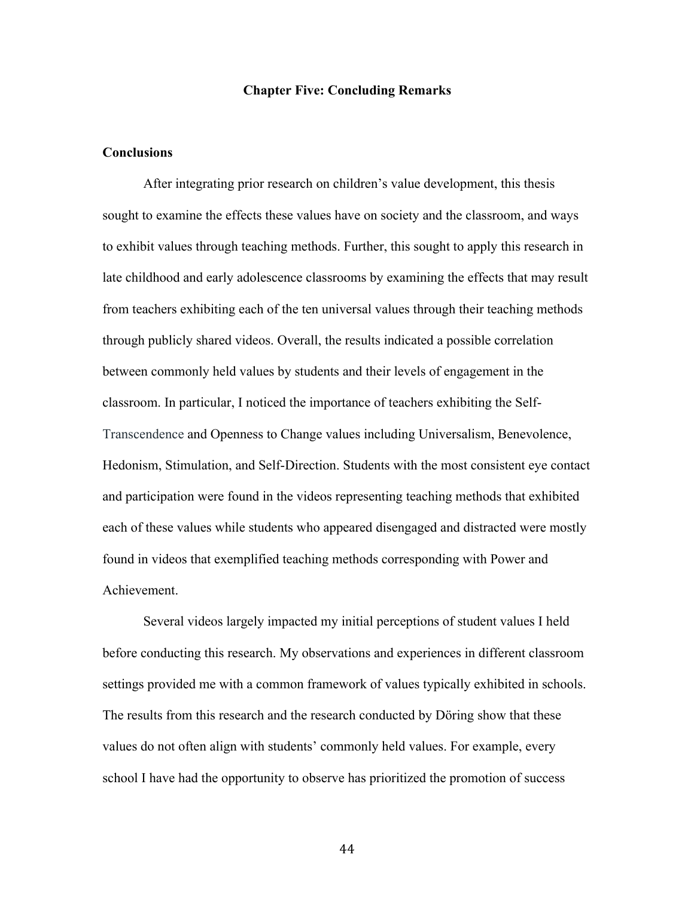#### **Chapter Five: Concluding Remarks**

#### **Conclusions**

After integrating prior research on children's value development, this thesis sought to examine the effects these values have on society and the classroom, and ways to exhibit values through teaching methods. Further, this sought to apply this research in late childhood and early adolescence classrooms by examining the effects that may result from teachers exhibiting each of the ten universal values through their teaching methods through publicly shared videos. Overall, the results indicated a possible correlation between commonly held values by students and their levels of engagement in the classroom. In particular, I noticed the importance of teachers exhibiting the Self-Transcendence and Openness to Change values including Universalism, Benevolence, Hedonism, Stimulation, and Self-Direction. Students with the most consistent eye contact and participation were found in the videos representing teaching methods that exhibited each of these values while students who appeared disengaged and distracted were mostly found in videos that exemplified teaching methods corresponding with Power and Achievement.

Several videos largely impacted my initial perceptions of student values I held before conducting this research. My observations and experiences in different classroom settings provided me with a common framework of values typically exhibited in schools. The results from this research and the research conducted by Döring show that these values do not often align with students' commonly held values. For example, every school I have had the opportunity to observe has prioritized the promotion of success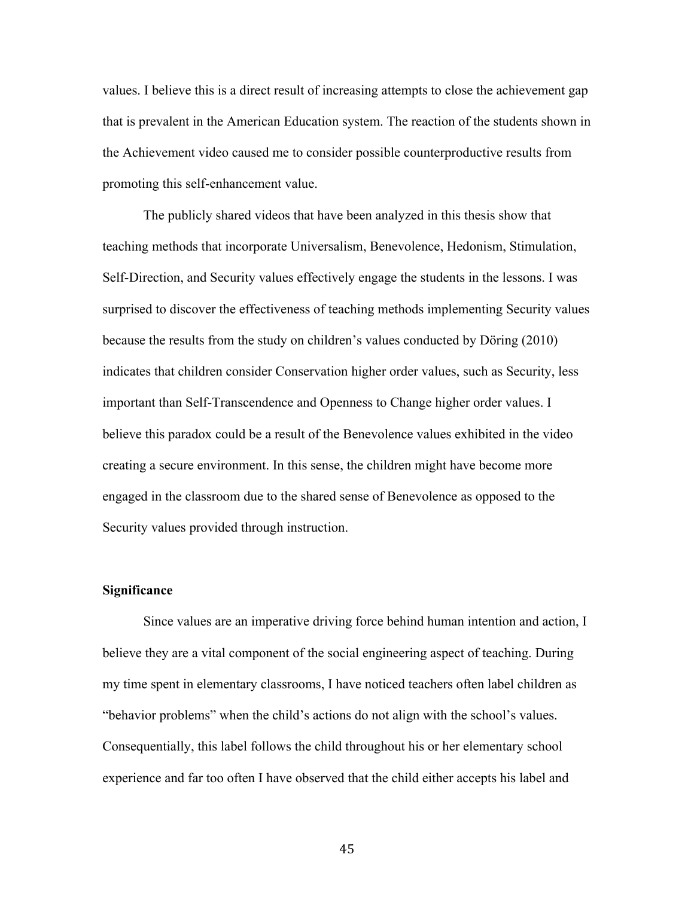values. I believe this is a direct result of increasing attempts to close the achievement gap that is prevalent in the American Education system. The reaction of the students shown in the Achievement video caused me to consider possible counterproductive results from promoting this self-enhancement value.

The publicly shared videos that have been analyzed in this thesis show that teaching methods that incorporate Universalism, Benevolence, Hedonism, Stimulation, Self-Direction, and Security values effectively engage the students in the lessons. I was surprised to discover the effectiveness of teaching methods implementing Security values because the results from the study on children's values conducted by Döring (2010) indicates that children consider Conservation higher order values, such as Security, less important than Self-Transcendence and Openness to Change higher order values. I believe this paradox could be a result of the Benevolence values exhibited in the video creating a secure environment. In this sense, the children might have become more engaged in the classroom due to the shared sense of Benevolence as opposed to the Security values provided through instruction.

#### **Significance**

Since values are an imperative driving force behind human intention and action, I believe they are a vital component of the social engineering aspect of teaching. During my time spent in elementary classrooms, I have noticed teachers often label children as "behavior problems" when the child's actions do not align with the school's values. Consequentially, this label follows the child throughout his or her elementary school experience and far too often I have observed that the child either accepts his label and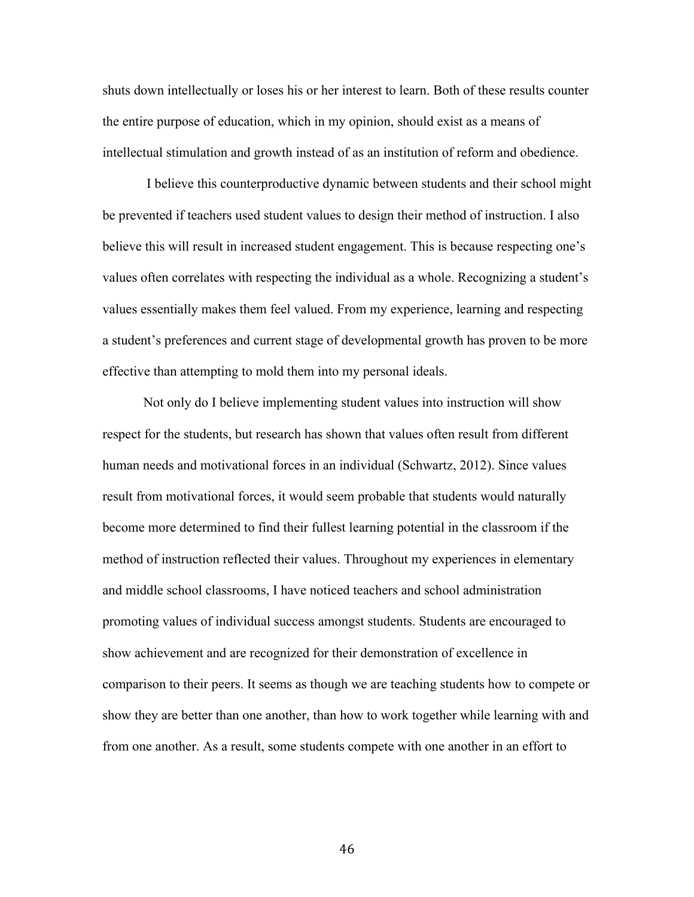shuts down intellectually or loses his or her interest to learn. Both of these results counter the entire purpose of education, which in my opinion, should exist as a means of intellectual stimulation and growth instead of as an institution of reform and obedience.

I believe this counterproductive dynamic between students and their school might be prevented if teachers used student values to design their method of instruction. I also believe this will result in increased student engagement. This is because respecting one's values often correlates with respecting the individual as a whole. Recognizing a student's values essentially makes them feel valued. From my experience, learning and respecting a student's preferences and current stage of developmental growth has proven to be more effective than attempting to mold them into my personal ideals.

Not only do I believe implementing student values into instruction will show respect for the students, but research has shown that values often result from different human needs and motivational forces in an individual (Schwartz, 2012). Since values result from motivational forces, it would seem probable that students would naturally become more determined to find their fullest learning potential in the classroom if the method of instruction reflected their values. Throughout my experiences in elementary and middle school classrooms, I have noticed teachers and school administration promoting values of individual success amongst students. Students are encouraged to show achievement and are recognized for their demonstration of excellence in comparison to their peers. It seems as though we are teaching students how to compete or show they are better than one another, than how to work together while learning with and from one another. As a result, some students compete with one another in an effort to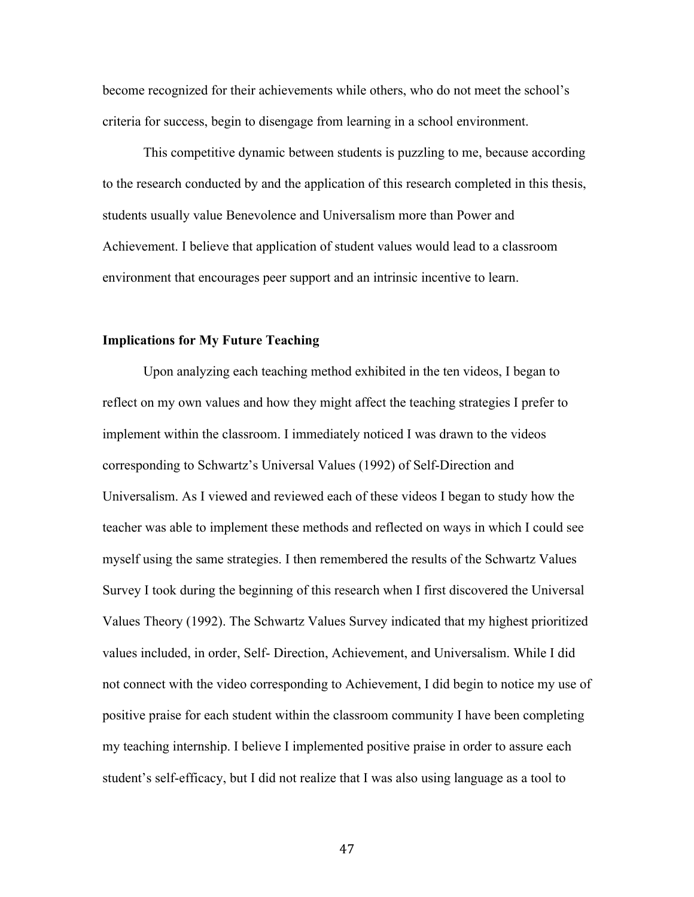become recognized for their achievements while others, who do not meet the school's criteria for success, begin to disengage from learning in a school environment.

This competitive dynamic between students is puzzling to me, because according to the research conducted by and the application of this research completed in this thesis, students usually value Benevolence and Universalism more than Power and Achievement. I believe that application of student values would lead to a classroom environment that encourages peer support and an intrinsic incentive to learn.

#### **Implications for My Future Teaching**

Upon analyzing each teaching method exhibited in the ten videos, I began to reflect on my own values and how they might affect the teaching strategies I prefer to implement within the classroom. I immediately noticed I was drawn to the videos corresponding to Schwartz's Universal Values (1992) of Self-Direction and Universalism. As I viewed and reviewed each of these videos I began to study how the teacher was able to implement these methods and reflected on ways in which I could see myself using the same strategies. I then remembered the results of the Schwartz Values Survey I took during the beginning of this research when I first discovered the Universal Values Theory (1992). The Schwartz Values Survey indicated that my highest prioritized values included, in order, Self- Direction, Achievement, and Universalism. While I did not connect with the video corresponding to Achievement, I did begin to notice my use of positive praise for each student within the classroom community I have been completing my teaching internship. I believe I implemented positive praise in order to assure each student's self-efficacy, but I did not realize that I was also using language as a tool to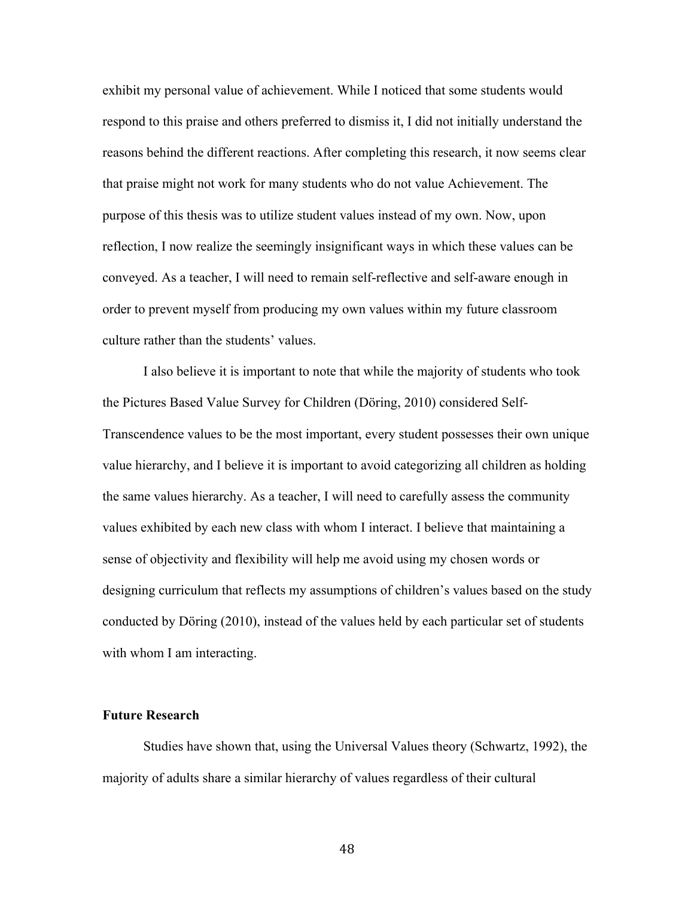exhibit my personal value of achievement. While I noticed that some students would respond to this praise and others preferred to dismiss it, I did not initially understand the reasons behind the different reactions. After completing this research, it now seems clear that praise might not work for many students who do not value Achievement. The purpose of this thesis was to utilize student values instead of my own. Now, upon reflection, I now realize the seemingly insignificant ways in which these values can be conveyed. As a teacher, I will need to remain self-reflective and self-aware enough in order to prevent myself from producing my own values within my future classroom culture rather than the students' values.

I also believe it is important to note that while the majority of students who took the Pictures Based Value Survey for Children (Döring, 2010) considered Self-Transcendence values to be the most important, every student possesses their own unique value hierarchy, and I believe it is important to avoid categorizing all children as holding the same values hierarchy. As a teacher, I will need to carefully assess the community values exhibited by each new class with whom I interact. I believe that maintaining a sense of objectivity and flexibility will help me avoid using my chosen words or designing curriculum that reflects my assumptions of children's values based on the study conducted by Döring (2010), instead of the values held by each particular set of students with whom I am interacting.

#### **Future Research**

Studies have shown that, using the Universal Values theory (Schwartz, 1992), the majority of adults share a similar hierarchy of values regardless of their cultural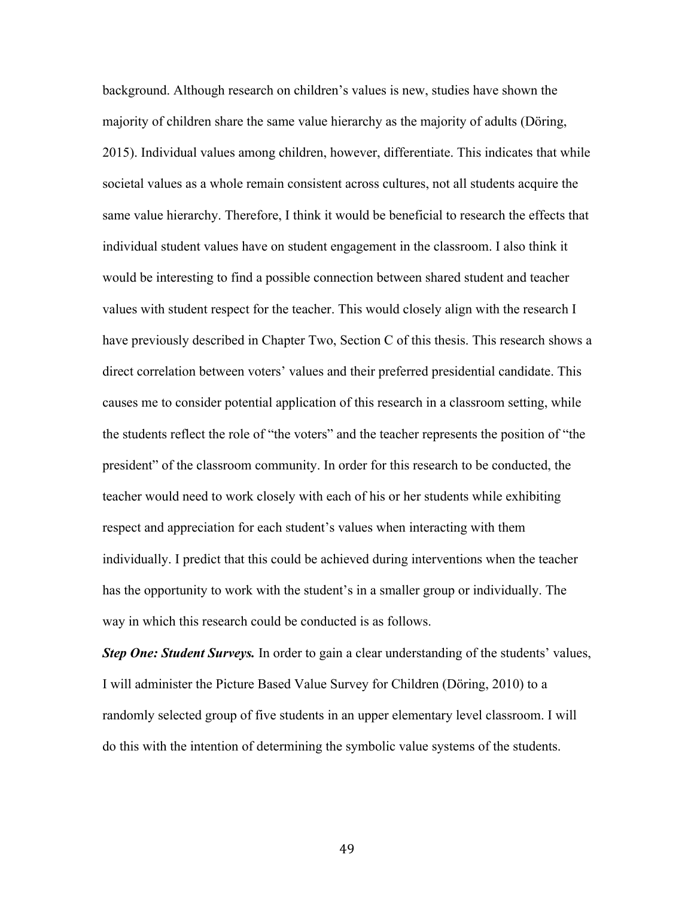background. Although research on children's values is new, studies have shown the majority of children share the same value hierarchy as the majority of adults (Döring, 2015). Individual values among children, however, differentiate. This indicates that while societal values as a whole remain consistent across cultures, not all students acquire the same value hierarchy. Therefore, I think it would be beneficial to research the effects that individual student values have on student engagement in the classroom. I also think it would be interesting to find a possible connection between shared student and teacher values with student respect for the teacher. This would closely align with the research I have previously described in Chapter Two, Section C of this thesis. This research shows a direct correlation between voters' values and their preferred presidential candidate. This causes me to consider potential application of this research in a classroom setting, while the students reflect the role of "the voters" and the teacher represents the position of "the president" of the classroom community. In order for this research to be conducted, the teacher would need to work closely with each of his or her students while exhibiting respect and appreciation for each student's values when interacting with them individually. I predict that this could be achieved during interventions when the teacher has the opportunity to work with the student's in a smaller group or individually. The way in which this research could be conducted is as follows.

*Step One: Student Surveys.* In order to gain a clear understanding of the students' values, I will administer the Picture Based Value Survey for Children (Döring, 2010) to a randomly selected group of five students in an upper elementary level classroom. I will do this with the intention of determining the symbolic value systems of the students.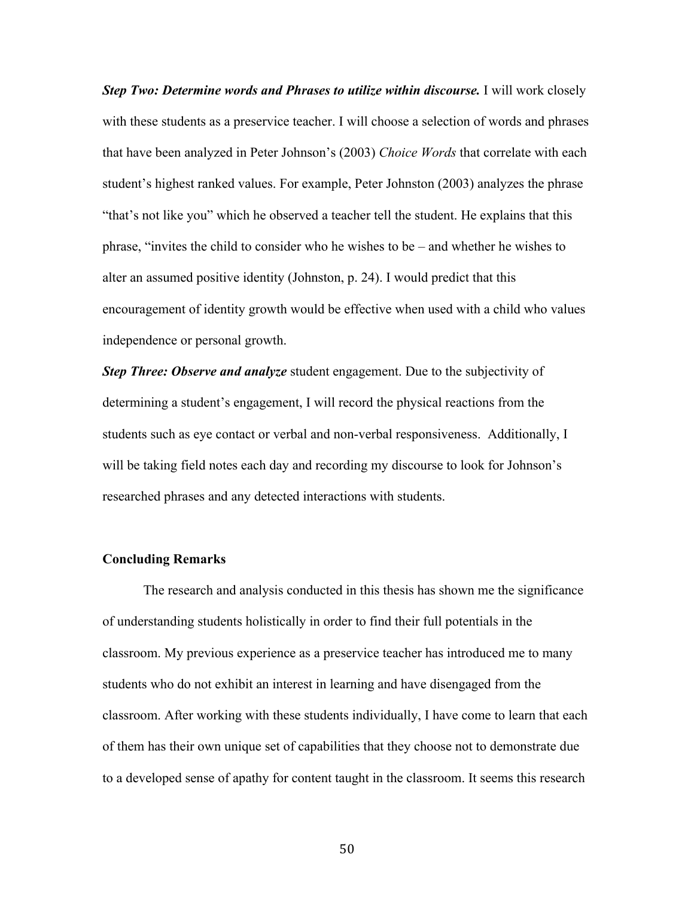*Step Two: Determine words and Phrases to utilize within discourse.* **I will work closely** with these students as a preservice teacher. I will choose a selection of words and phrases that have been analyzed in Peter Johnson's (2003) *Choice Words* that correlate with each student's highest ranked values. For example, Peter Johnston (2003) analyzes the phrase "that's not like you" which he observed a teacher tell the student. He explains that this phrase, "invites the child to consider who he wishes to be – and whether he wishes to alter an assumed positive identity (Johnston, p. 24). I would predict that this encouragement of identity growth would be effective when used with a child who values independence or personal growth.

*Step Three: Observe and analyze* student engagement. Due to the subjectivity of determining a student's engagement, I will record the physical reactions from the students such as eye contact or verbal and non-verbal responsiveness. Additionally, I will be taking field notes each day and recording my discourse to look for Johnson's researched phrases and any detected interactions with students.

#### **Concluding Remarks**

The research and analysis conducted in this thesis has shown me the significance of understanding students holistically in order to find their full potentials in the classroom. My previous experience as a preservice teacher has introduced me to many students who do not exhibit an interest in learning and have disengaged from the classroom. After working with these students individually, I have come to learn that each of them has their own unique set of capabilities that they choose not to demonstrate due to a developed sense of apathy for content taught in the classroom. It seems this research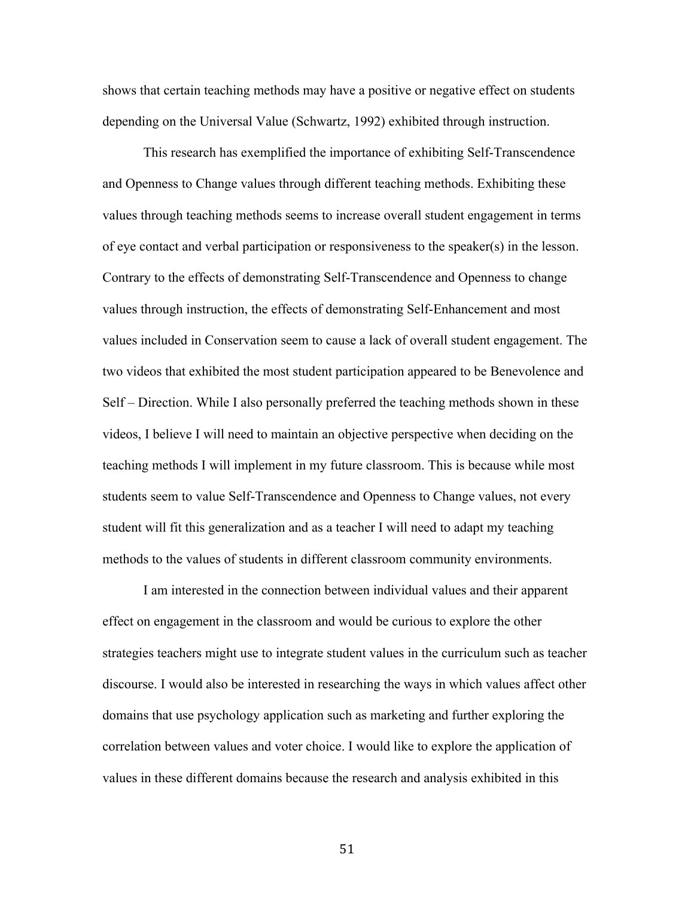shows that certain teaching methods may have a positive or negative effect on students depending on the Universal Value (Schwartz, 1992) exhibited through instruction.

This research has exemplified the importance of exhibiting Self-Transcendence and Openness to Change values through different teaching methods. Exhibiting these values through teaching methods seems to increase overall student engagement in terms of eye contact and verbal participation or responsiveness to the speaker(s) in the lesson. Contrary to the effects of demonstrating Self-Transcendence and Openness to change values through instruction, the effects of demonstrating Self-Enhancement and most values included in Conservation seem to cause a lack of overall student engagement. The two videos that exhibited the most student participation appeared to be Benevolence and Self – Direction. While I also personally preferred the teaching methods shown in these videos, I believe I will need to maintain an objective perspective when deciding on the teaching methods I will implement in my future classroom. This is because while most students seem to value Self-Transcendence and Openness to Change values, not every student will fit this generalization and as a teacher I will need to adapt my teaching methods to the values of students in different classroom community environments.

I am interested in the connection between individual values and their apparent effect on engagement in the classroom and would be curious to explore the other strategies teachers might use to integrate student values in the curriculum such as teacher discourse. I would also be interested in researching the ways in which values affect other domains that use psychology application such as marketing and further exploring the correlation between values and voter choice. I would like to explore the application of values in these different domains because the research and analysis exhibited in this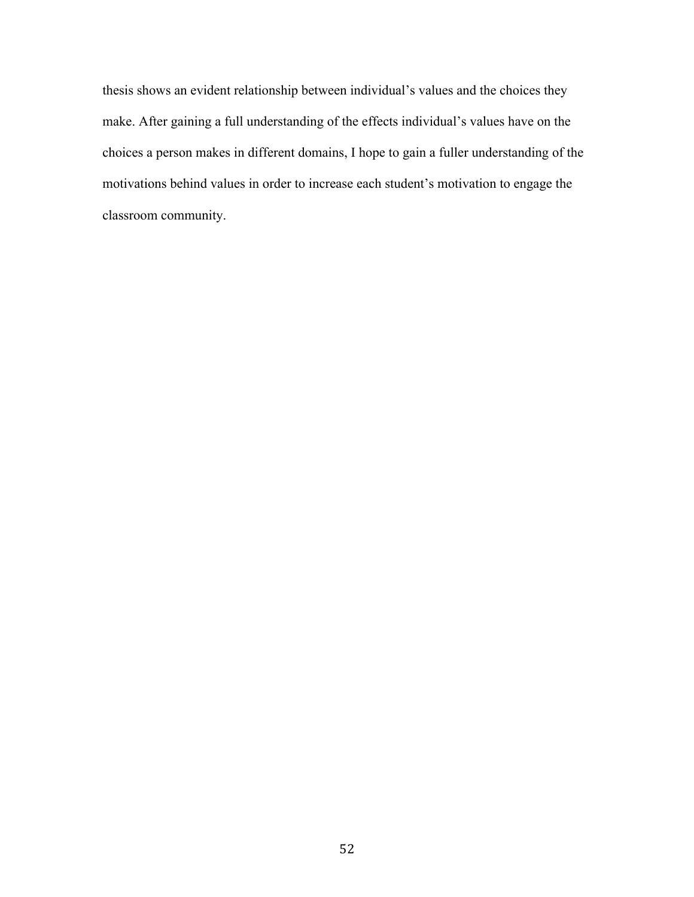thesis shows an evident relationship between individual's values and the choices they make. After gaining a full understanding of the effects individual's values have on the choices a person makes in different domains, I hope to gain a fuller understanding of the motivations behind values in order to increase each student's motivation to engage the classroom community.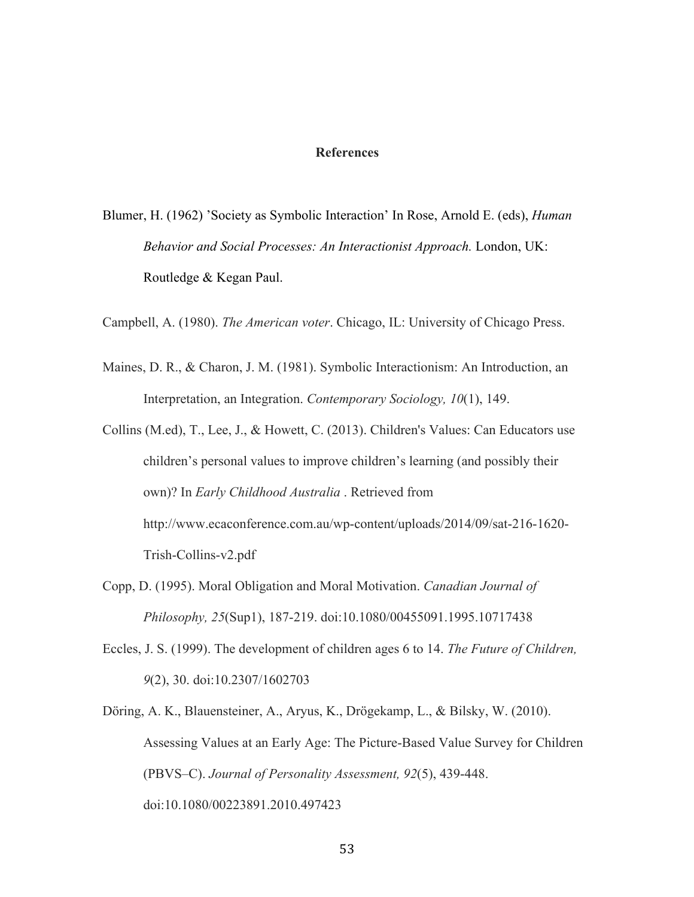#### **References**

Blumer, H. (1962) 'Society as Symbolic Interaction' In Rose, Arnold E. (eds), *Human Behavior and Social Processes: An Interactionist Approach.* London, UK: Routledge & Kegan Paul.

Campbell, A. (1980). *The American voter*. Chicago, IL: University of Chicago Press.

- Maines, D. R., & Charon, J. M. (1981). Symbolic Interactionism: An Introduction, an Interpretation, an Integration. *Contemporary Sociology, 10*(1), 149.
- Collins (M.ed), T., Lee, J., & Howett, C. (2013). Children's Values: Can Educators use children's personal values to improve children's learning (and possibly their own)? In *Early Childhood Australia* . Retrieved from http://www.ecaconference.com.au/wp-content/uploads/2014/09/sat-216-1620- Trish-Collins-v2.pdf
- Copp, D. (1995). Moral Obligation and Moral Motivation. *Canadian Journal of Philosophy, 25*(Sup1), 187-219. doi:10.1080/00455091.1995.10717438
- Eccles, J. S. (1999). The development of children ages 6 to 14. *The Future of Children, 9*(2), 30. doi:10.2307/1602703
- Döring, A. K., Blauensteiner, A., Aryus, K., Drögekamp, L., & Bilsky, W. (2010). Assessing Values at an Early Age: The Picture-Based Value Survey for Children (PBVS–C). *Journal of Personality Assessment, 92*(5), 439-448. doi:10.1080/00223891.2010.497423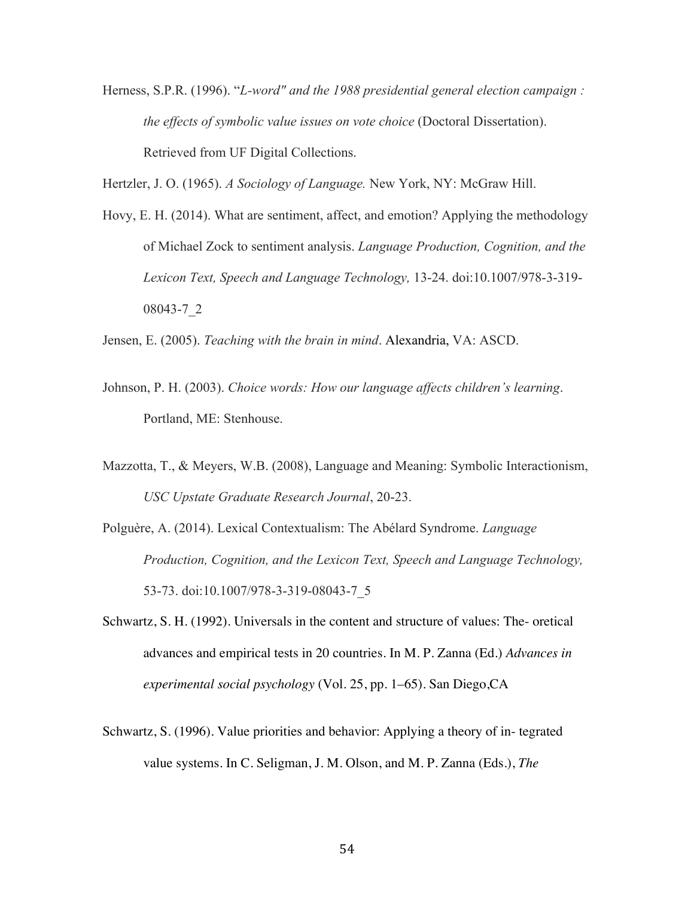Herness, S.P.R. (1996). "*L-word" and the 1988 presidential general election campaign : the effects of symbolic value issues on vote choice* (Doctoral Dissertation). Retrieved from UF Digital Collections.

Hertzler, J. O. (1965). *A Sociology of Language.* New York, NY: McGraw Hill.

Hovy, E. H. (2014). What are sentiment, affect, and emotion? Applying the methodology of Michael Zock to sentiment analysis. *Language Production, Cognition, and the Lexicon Text, Speech and Language Technology,* 13-24. doi:10.1007/978-3-319- 08043-7\_2

Jensen, E. (2005). *Teaching with the brain in mind*. Alexandria, VA: ASCD.

- Johnson, P. H. (2003). *Choice words: How our language affects children's learning*. Portland, ME: Stenhouse.
- Mazzotta, T., & Meyers, W.B. (2008), Language and Meaning: Symbolic Interactionism, *USC Upstate Graduate Research Journal*, 20-23.
- Polguère, A. (2014). Lexical Contextualism: The Abélard Syndrome. *Language Production, Cognition, and the Lexicon Text, Speech and Language Technology,* 53-73. doi:10.1007/978-3-319-08043-7\_5
- Schwartz, S. H. (1992). Universals in the content and structure of values: The- oretical advances and empirical tests in 20 countries. In M. P. Zanna (Ed.) *Advances in experimental social psychology* (Vol. 25, pp. 1–65). San Diego,CA
- Schwartz, S. (1996). Value priorities and behavior: Applying a theory of in- tegrated value systems. In C. Seligman, J. M. Olson, and M. P. Zanna (Eds.), *The*